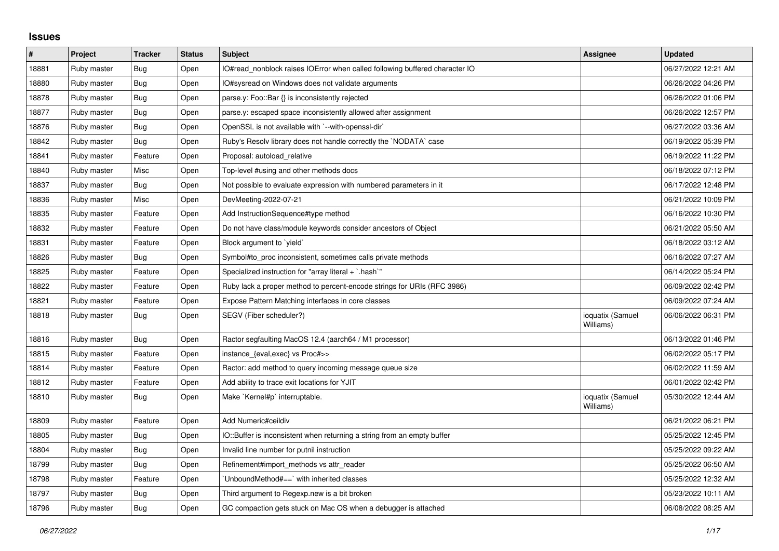## **Issues**

| $\pmb{\#}$ | Project     | <b>Tracker</b> | <b>Status</b> | <b>Subject</b>                                                              | <b>Assignee</b>               | <b>Updated</b>      |
|------------|-------------|----------------|---------------|-----------------------------------------------------------------------------|-------------------------------|---------------------|
| 18881      | Ruby master | Bug            | Open          | IO#read_nonblock raises IOError when called following buffered character IO |                               | 06/27/2022 12:21 AM |
| 18880      | Ruby master | <b>Bug</b>     | Open          | IO#sysread on Windows does not validate arguments                           |                               | 06/26/2022 04:26 PM |
| 18878      | Ruby master | <b>Bug</b>     | Open          | parse.y: Foo::Bar {} is inconsistently rejected                             |                               | 06/26/2022 01:06 PM |
| 18877      | Ruby master | <b>Bug</b>     | Open          | parse.y: escaped space inconsistently allowed after assignment              |                               | 06/26/2022 12:57 PM |
| 18876      | Ruby master | <b>Bug</b>     | Open          | OpenSSL is not available with `--with-openssl-dir`                          |                               | 06/27/2022 03:36 AM |
| 18842      | Ruby master | Bug            | Open          | Ruby's Resolv library does not handle correctly the `NODATA` case           |                               | 06/19/2022 05:39 PM |
| 18841      | Ruby master | Feature        | Open          | Proposal: autoload_relative                                                 |                               | 06/19/2022 11:22 PM |
| 18840      | Ruby master | Misc           | Open          | Top-level #using and other methods docs                                     |                               | 06/18/2022 07:12 PM |
| 18837      | Ruby master | Bug            | Open          | Not possible to evaluate expression with numbered parameters in it          |                               | 06/17/2022 12:48 PM |
| 18836      | Ruby master | Misc           | Open          | DevMeeting-2022-07-21                                                       |                               | 06/21/2022 10:09 PM |
| 18835      | Ruby master | Feature        | Open          | Add InstructionSequence#type method                                         |                               | 06/16/2022 10:30 PM |
| 18832      | Ruby master | Feature        | Open          | Do not have class/module keywords consider ancestors of Object              |                               | 06/21/2022 05:50 AM |
| 18831      | Ruby master | Feature        | Open          | Block argument to 'yield'                                                   |                               | 06/18/2022 03:12 AM |
| 18826      | Ruby master | <b>Bug</b>     | Open          | Symbol#to_proc inconsistent, sometimes calls private methods                |                               | 06/16/2022 07:27 AM |
| 18825      | Ruby master | Feature        | Open          | Specialized instruction for "array literal + `.hash`"                       |                               | 06/14/2022 05:24 PM |
| 18822      | Ruby master | Feature        | Open          | Ruby lack a proper method to percent-encode strings for URIs (RFC 3986)     |                               | 06/09/2022 02:42 PM |
| 18821      | Ruby master | Feature        | Open          | Expose Pattern Matching interfaces in core classes                          |                               | 06/09/2022 07:24 AM |
| 18818      | Ruby master | Bug            | Open          | SEGV (Fiber scheduler?)                                                     | ioquatix (Samuel<br>Williams) | 06/06/2022 06:31 PM |
| 18816      | Ruby master | Bug            | Open          | Ractor segfaulting MacOS 12.4 (aarch64 / M1 processor)                      |                               | 06/13/2022 01:46 PM |
| 18815      | Ruby master | Feature        | Open          | instance_{eval,exec} vs Proc#>>                                             |                               | 06/02/2022 05:17 PM |
| 18814      | Ruby master | Feature        | Open          | Ractor: add method to query incoming message queue size                     |                               | 06/02/2022 11:59 AM |
| 18812      | Ruby master | Feature        | Open          | Add ability to trace exit locations for YJIT                                |                               | 06/01/2022 02:42 PM |
| 18810      | Ruby master | Bug            | Open          | Make `Kernel#p` interruptable.                                              | ioquatix (Samuel<br>Williams) | 05/30/2022 12:44 AM |
| 18809      | Ruby master | Feature        | Open          | Add Numeric#ceildiv                                                         |                               | 06/21/2022 06:21 PM |
| 18805      | Ruby master | Bug            | Open          | IO::Buffer is inconsistent when returning a string from an empty buffer     |                               | 05/25/2022 12:45 PM |
| 18804      | Ruby master | Bug            | Open          | Invalid line number for putnil instruction                                  |                               | 05/25/2022 09:22 AM |
| 18799      | Ruby master | Bug            | Open          | Refinement#import methods vs attr reader                                    |                               | 05/25/2022 06:50 AM |
| 18798      | Ruby master | Feature        | Open          | UnboundMethod#==`with inherited classes                                     |                               | 05/25/2022 12:32 AM |
| 18797      | Ruby master | <b>Bug</b>     | Open          | Third argument to Regexp.new is a bit broken                                |                               | 05/23/2022 10:11 AM |
| 18796      | Ruby master | Bug            | Open          | GC compaction gets stuck on Mac OS when a debugger is attached              |                               | 06/08/2022 08:25 AM |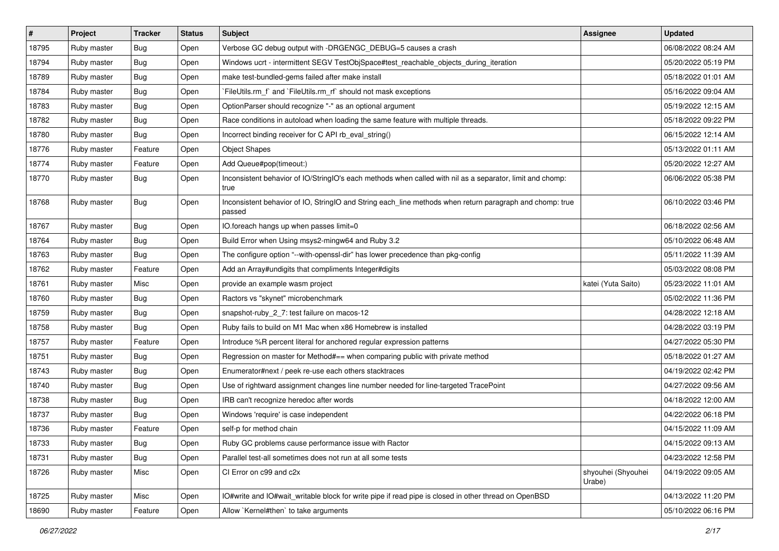| $\vert$ # | Project     | <b>Tracker</b> | <b>Status</b> | <b>Subject</b>                                                                                                     | <b>Assignee</b>              | <b>Updated</b>      |
|-----------|-------------|----------------|---------------|--------------------------------------------------------------------------------------------------------------------|------------------------------|---------------------|
| 18795     | Ruby master | Bug            | Open          | Verbose GC debug output with -DRGENGC_DEBUG=5 causes a crash                                                       |                              | 06/08/2022 08:24 AM |
| 18794     | Ruby master | <b>Bug</b>     | Open          | Windows ucrt - intermittent SEGV TestObjSpace#test_reachable_objects_during_iteration                              |                              | 05/20/2022 05:19 PM |
| 18789     | Ruby master | <b>Bug</b>     | Open          | make test-bundled-gems failed after make install                                                                   |                              | 05/18/2022 01:01 AM |
| 18784     | Ruby master | <b>Bug</b>     | Open          | FileUtils.rm_f` and `FileUtils.rm_rf` should not mask exceptions                                                   |                              | 05/16/2022 09:04 AM |
| 18783     | Ruby master | <b>Bug</b>     | Open          | OptionParser should recognize "-" as an optional argument                                                          |                              | 05/19/2022 12:15 AM |
| 18782     | Ruby master | <b>Bug</b>     | Open          | Race conditions in autoload when loading the same feature with multiple threads.                                   |                              | 05/18/2022 09:22 PM |
| 18780     | Ruby master | <b>Bug</b>     | Open          | Incorrect binding receiver for C API rb_eval_string()                                                              |                              | 06/15/2022 12:14 AM |
| 18776     | Ruby master | Feature        | Open          | <b>Object Shapes</b>                                                                                               |                              | 05/13/2022 01:11 AM |
| 18774     | Ruby master | Feature        | Open          | Add Queue#pop(timeout:)                                                                                            |                              | 05/20/2022 12:27 AM |
| 18770     | Ruby master | <b>Bug</b>     | Open          | Inconsistent behavior of IO/StringIO's each methods when called with nil as a separator, limit and chomp:<br>true  |                              | 06/06/2022 05:38 PM |
| 18768     | Ruby master | Bug            | Open          | Inconsistent behavior of IO, StringIO and String each_line methods when return paragraph and chomp: true<br>passed |                              | 06/10/2022 03:46 PM |
| 18767     | Ruby master | <b>Bug</b>     | Open          | IO.foreach hangs up when passes limit=0                                                                            |                              | 06/18/2022 02:56 AM |
| 18764     | Ruby master | <b>Bug</b>     | Open          | Build Error when Using msys2-mingw64 and Ruby 3.2                                                                  |                              | 05/10/2022 06:48 AM |
| 18763     | Ruby master | <b>Bug</b>     | Open          | The configure option "--with-openssl-dir" has lower precedence than pkg-config                                     |                              | 05/11/2022 11:39 AM |
| 18762     | Ruby master | Feature        | Open          | Add an Array#undigits that compliments Integer#digits                                                              |                              | 05/03/2022 08:08 PM |
| 18761     | Ruby master | Misc           | Open          | provide an example wasm project                                                                                    | katei (Yuta Saito)           | 05/23/2022 11:01 AM |
| 18760     | Ruby master | <b>Bug</b>     | Open          | Ractors vs "skynet" microbenchmark                                                                                 |                              | 05/02/2022 11:36 PM |
| 18759     | Ruby master | <b>Bug</b>     | Open          | snapshot-ruby_2_7: test failure on macos-12                                                                        |                              | 04/28/2022 12:18 AM |
| 18758     | Ruby master | <b>Bug</b>     | Open          | Ruby fails to build on M1 Mac when x86 Homebrew is installed                                                       |                              | 04/28/2022 03:19 PM |
| 18757     | Ruby master | Feature        | Open          | Introduce %R percent literal for anchored regular expression patterns                                              |                              | 04/27/2022 05:30 PM |
| 18751     | Ruby master | <b>Bug</b>     | Open          | Regression on master for Method#== when comparing public with private method                                       |                              | 05/18/2022 01:27 AM |
| 18743     | Ruby master | <b>Bug</b>     | Open          | Enumerator#next / peek re-use each others stacktraces                                                              |                              | 04/19/2022 02:42 PM |
| 18740     | Ruby master | <b>Bug</b>     | Open          | Use of rightward assignment changes line number needed for line-targeted TracePoint                                |                              | 04/27/2022 09:56 AM |
| 18738     | Ruby master | <b>Bug</b>     | Open          | IRB can't recognize heredoc after words                                                                            |                              | 04/18/2022 12:00 AM |
| 18737     | Ruby master | <b>Bug</b>     | Open          | Windows 'require' is case independent                                                                              |                              | 04/22/2022 06:18 PM |
| 18736     | Ruby master | Feature        | Open          | self-p for method chain                                                                                            |                              | 04/15/2022 11:09 AM |
| 18733     | Ruby master | Bug            | Open          | Ruby GC problems cause performance issue with Ractor                                                               |                              | 04/15/2022 09:13 AM |
| 18731     | Ruby master | <b>Bug</b>     | Open          | Parallel test-all sometimes does not run at all some tests                                                         |                              | 04/23/2022 12:58 PM |
| 18726     | Ruby master | Misc           | Open          | CI Error on c99 and c2x                                                                                            | shyouhei (Shyouhei<br>Urabe) | 04/19/2022 09:05 AM |
| 18725     | Ruby master | Misc           | Open          | IO#write and IO#wait_writable block for write pipe if read pipe is closed in other thread on OpenBSD               |                              | 04/13/2022 11:20 PM |
| 18690     | Ruby master | Feature        | Open          | Allow `Kernel#then` to take arguments                                                                              |                              | 05/10/2022 06:16 PM |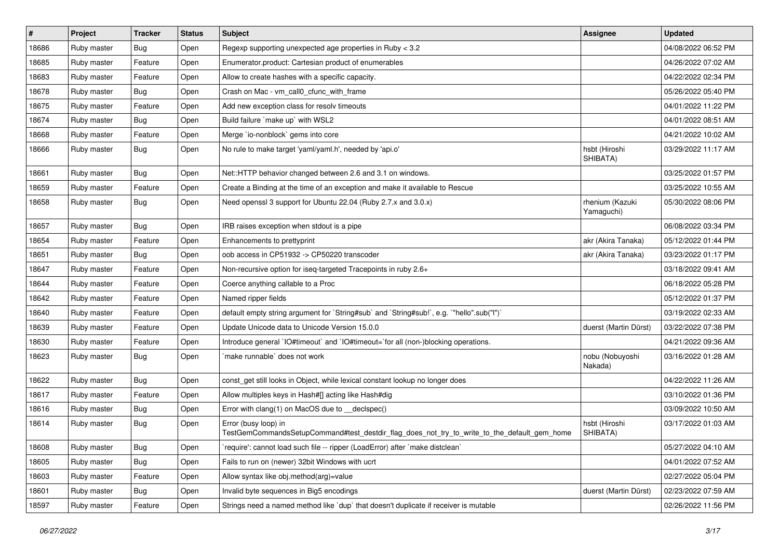| $\#$  | Project     | <b>Tracker</b> | <b>Status</b> | Subject                                                                                                             | <b>Assignee</b>               | <b>Updated</b>      |
|-------|-------------|----------------|---------------|---------------------------------------------------------------------------------------------------------------------|-------------------------------|---------------------|
| 18686 | Ruby master | Bug            | Open          | Regexp supporting unexpected age properties in Ruby < 3.2                                                           |                               | 04/08/2022 06:52 PM |
| 18685 | Ruby master | Feature        | Open          | Enumerator.product: Cartesian product of enumerables                                                                |                               | 04/26/2022 07:02 AM |
| 18683 | Ruby master | Feature        | Open          | Allow to create hashes with a specific capacity.                                                                    |                               | 04/22/2022 02:34 PM |
| 18678 | Ruby master | Bug            | Open          | Crash on Mac - vm_call0_cfunc_with_frame                                                                            |                               | 05/26/2022 05:40 PM |
| 18675 | Ruby master | Feature        | Open          | Add new exception class for resolv timeouts                                                                         |                               | 04/01/2022 11:22 PM |
| 18674 | Ruby master | Bug            | Open          | Build failure `make up` with WSL2                                                                                   |                               | 04/01/2022 08:51 AM |
| 18668 | Ruby master | Feature        | Open          | Merge `io-nonblock` gems into core                                                                                  |                               | 04/21/2022 10:02 AM |
| 18666 | Ruby master | Bug            | Open          | No rule to make target 'yaml/yaml.h', needed by 'api.o'                                                             | hsbt (Hiroshi<br>SHIBATA)     | 03/29/2022 11:17 AM |
| 18661 | Ruby master | Bug            | Open          | Net::HTTP behavior changed between 2.6 and 3.1 on windows.                                                          |                               | 03/25/2022 01:57 PM |
| 18659 | Ruby master | Feature        | Open          | Create a Binding at the time of an exception and make it available to Rescue                                        |                               | 03/25/2022 10:55 AM |
| 18658 | Ruby master | Bug            | Open          | Need openssl 3 support for Ubuntu 22.04 (Ruby 2.7.x and 3.0.x)                                                      | rhenium (Kazuki<br>Yamaguchi) | 05/30/2022 08:06 PM |
| 18657 | Ruby master | Bug            | Open          | IRB raises exception when stdout is a pipe                                                                          |                               | 06/08/2022 03:34 PM |
| 18654 | Ruby master | Feature        | Open          | Enhancements to prettyprint                                                                                         | akr (Akira Tanaka)            | 05/12/2022 01:44 PM |
| 18651 | Ruby master | Bug            | Open          | oob access in CP51932 -> CP50220 transcoder                                                                         | akr (Akira Tanaka)            | 03/23/2022 01:17 PM |
| 18647 | Ruby master | Feature        | Open          | Non-recursive option for iseq-targeted Tracepoints in ruby 2.6+                                                     |                               | 03/18/2022 09:41 AM |
| 18644 | Ruby master | Feature        | Open          | Coerce anything callable to a Proc                                                                                  |                               | 06/18/2022 05:28 PM |
| 18642 | Ruby master | Feature        | Open          | Named ripper fields                                                                                                 |                               | 05/12/2022 01:37 PM |
| 18640 | Ruby master | Feature        | Open          | default empty string argument for `String#sub` and `String#sub!`, e.g. `"hello".sub("I")`                           |                               | 03/19/2022 02:33 AM |
| 18639 | Ruby master | Feature        | Open          | Update Unicode data to Unicode Version 15.0.0                                                                       | duerst (Martin Dürst)         | 03/22/2022 07:38 PM |
| 18630 | Ruby master | Feature        | Open          | Introduce general `IO#timeout` and `IO#timeout=`for all (non-)blocking operations.                                  |                               | 04/21/2022 09:36 AM |
| 18623 | Ruby master | Bug            | Open          | `make runnable` does not work                                                                                       | nobu (Nobuyoshi<br>Nakada)    | 03/16/2022 01:28 AM |
| 18622 | Ruby master | Bug            | Open          | const_get still looks in Object, while lexical constant lookup no longer does                                       |                               | 04/22/2022 11:26 AM |
| 18617 | Ruby master | Feature        | Open          | Allow multiples keys in Hash#[] acting like Hash#dig                                                                |                               | 03/10/2022 01:36 PM |
| 18616 | Ruby master | Bug            | Open          | Error with clang(1) on MacOS due to _declspec()                                                                     |                               | 03/09/2022 10:50 AM |
| 18614 | Ruby master | Bug            | Open          | Error (busy loop) in<br>TestGemCommandsSetupCommand#test_destdir_flag_does_not_try_to_write_to_the_default_gem_home | hsbt (Hiroshi<br>SHIBATA)     | 03/17/2022 01:03 AM |
| 18608 | Ruby master | <b>Bug</b>     | Open          | 'require': cannot load such file -- ripper (LoadError) after 'make distclean'                                       |                               | 05/27/2022 04:10 AM |
| 18605 | Ruby master | <b>Bug</b>     | Open          | Fails to run on (newer) 32bit Windows with ucrt                                                                     |                               | 04/01/2022 07:52 AM |
| 18603 | Ruby master | Feature        | Open          | Allow syntax like obj.method(arg)=value                                                                             |                               | 02/27/2022 05:04 PM |
| 18601 | Ruby master | Bug            | Open          | Invalid byte sequences in Big5 encodings                                                                            | duerst (Martin Dürst)         | 02/23/2022 07:59 AM |
| 18597 | Ruby master | Feature        | Open          | Strings need a named method like 'dup' that doesn't duplicate if receiver is mutable                                |                               | 02/26/2022 11:56 PM |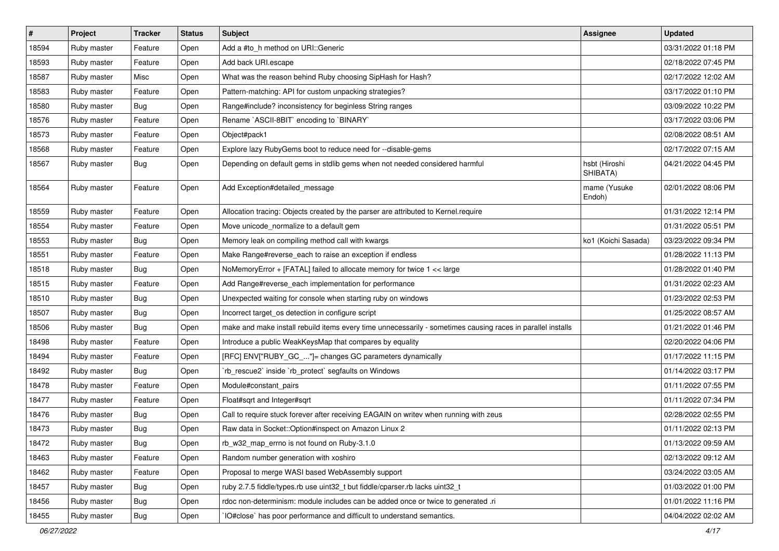| $\pmb{\#}$ | Project     | <b>Tracker</b> | <b>Status</b> | Subject                                                                                                     | <b>Assignee</b>           | <b>Updated</b>      |
|------------|-------------|----------------|---------------|-------------------------------------------------------------------------------------------------------------|---------------------------|---------------------|
| 18594      | Ruby master | Feature        | Open          | Add a #to h method on URI:: Generic                                                                         |                           | 03/31/2022 01:18 PM |
| 18593      | Ruby master | Feature        | Open          | Add back URI.escape                                                                                         |                           | 02/18/2022 07:45 PM |
| 18587      | Ruby master | Misc           | Open          | What was the reason behind Ruby choosing SipHash for Hash?                                                  |                           | 02/17/2022 12:02 AM |
| 18583      | Ruby master | Feature        | Open          | Pattern-matching: API for custom unpacking strategies?                                                      |                           | 03/17/2022 01:10 PM |
| 18580      | Ruby master | Bug            | Open          | Range#include? inconsistency for beginless String ranges                                                    |                           | 03/09/2022 10:22 PM |
| 18576      | Ruby master | Feature        | Open          | Rename `ASCII-8BIT` encoding to `BINARY`                                                                    |                           | 03/17/2022 03:06 PM |
| 18573      | Ruby master | Feature        | Open          | Object#pack1                                                                                                |                           | 02/08/2022 08:51 AM |
| 18568      | Ruby master | Feature        | Open          | Explore lazy RubyGems boot to reduce need for --disable-gems                                                |                           | 02/17/2022 07:15 AM |
| 18567      | Ruby master | Bug            | Open          | Depending on default gems in stdlib gems when not needed considered harmful                                 | hsbt (Hiroshi<br>SHIBATA) | 04/21/2022 04:45 PM |
| 18564      | Ruby master | Feature        | Open          | Add Exception#detailed_message                                                                              | mame (Yusuke<br>Endoh)    | 02/01/2022 08:06 PM |
| 18559      | Ruby master | Feature        | Open          | Allocation tracing: Objects created by the parser are attributed to Kernel.require                          |                           | 01/31/2022 12:14 PM |
| 18554      | Ruby master | Feature        | Open          | Move unicode_normalize to a default gem                                                                     |                           | 01/31/2022 05:51 PM |
| 18553      | Ruby master | Bug            | Open          | Memory leak on compiling method call with kwargs                                                            | ko1 (Koichi Sasada)       | 03/23/2022 09:34 PM |
| 18551      | Ruby master | Feature        | Open          | Make Range#reverse_each to raise an exception if endless                                                    |                           | 01/28/2022 11:13 PM |
| 18518      | Ruby master | Bug            | Open          | NoMemoryError + [FATAL] failed to allocate memory for twice 1 << large                                      |                           | 01/28/2022 01:40 PM |
| 18515      | Ruby master | Feature        | Open          | Add Range#reverse_each implementation for performance                                                       |                           | 01/31/2022 02:23 AM |
| 18510      | Ruby master | Bug            | Open          | Unexpected waiting for console when starting ruby on windows                                                |                           | 01/23/2022 02:53 PM |
| 18507      | Ruby master | Bug            | Open          | Incorrect target_os detection in configure script                                                           |                           | 01/25/2022 08:57 AM |
| 18506      | Ruby master | Bug            | Open          | make and make install rebuild items every time unnecessarily - sometimes causing races in parallel installs |                           | 01/21/2022 01:46 PM |
| 18498      | Ruby master | Feature        | Open          | Introduce a public WeakKeysMap that compares by equality                                                    |                           | 02/20/2022 04:06 PM |
| 18494      | Ruby master | Feature        | Open          | [RFC] ENV["RUBY_GC_"]= changes GC parameters dynamically                                                    |                           | 01/17/2022 11:15 PM |
| 18492      | Ruby master | Bug            | Open          | `rb_rescue2` inside `rb_protect` segfaults on Windows                                                       |                           | 01/14/2022 03:17 PM |
| 18478      | Ruby master | Feature        | Open          | Module#constant_pairs                                                                                       |                           | 01/11/2022 07:55 PM |
| 18477      | Ruby master | Feature        | Open          | Float#sqrt and Integer#sqrt                                                                                 |                           | 01/11/2022 07:34 PM |
| 18476      | Ruby master | Bug            | Open          | Call to require stuck forever after receiving EAGAIN on writev when running with zeus                       |                           | 02/28/2022 02:55 PM |
| 18473      | Ruby master | Bug            | Open          | Raw data in Socket:: Option#inspect on Amazon Linux 2                                                       |                           | 01/11/2022 02:13 PM |
| 18472      | Ruby master | Bug            | Open          | rb_w32_map_errno is not found on Ruby-3.1.0                                                                 |                           | 01/13/2022 09:59 AM |
| 18463      | Ruby master | Feature        | Open          | Random number generation with xoshiro                                                                       |                           | 02/13/2022 09:12 AM |
| 18462      | Ruby master | Feature        | Open          | Proposal to merge WASI based WebAssembly support                                                            |                           | 03/24/2022 03:05 AM |
| 18457      | Ruby master | Bug            | Open          | ruby 2.7.5 fiddle/types.rb use uint32_t but fiddle/cparser.rb lacks uint32_t                                |                           | 01/03/2022 01:00 PM |
| 18456      | Ruby master | <b>Bug</b>     | Open          | rdoc non-determinism: module includes can be added once or twice to generated .ri                           |                           | 01/01/2022 11:16 PM |
| 18455      | Ruby master | Bug            | Open          | IO#close` has poor performance and difficult to understand semantics.                                       |                           | 04/04/2022 02:02 AM |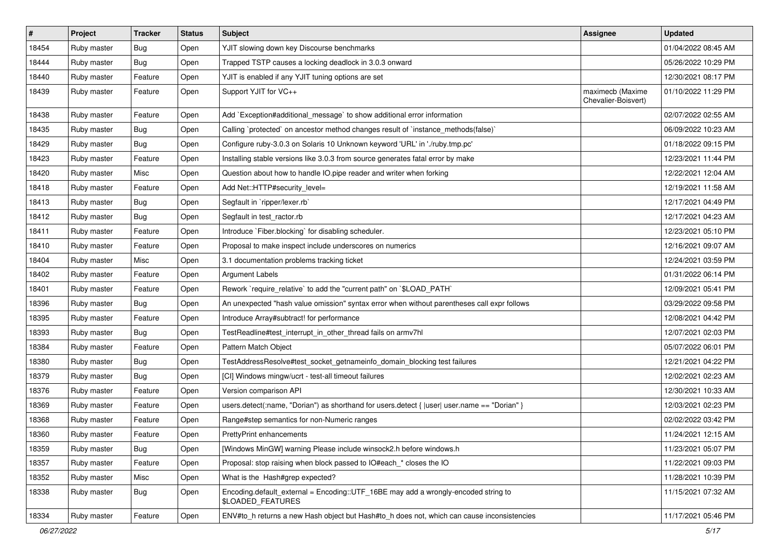| #     | Project     | <b>Tracker</b> | <b>Status</b> | Subject                                                                                                 | <b>Assignee</b>                         | <b>Updated</b>      |
|-------|-------------|----------------|---------------|---------------------------------------------------------------------------------------------------------|-----------------------------------------|---------------------|
| 18454 | Ruby master | <b>Bug</b>     | Open          | YJIT slowing down key Discourse benchmarks                                                              |                                         | 01/04/2022 08:45 AM |
| 18444 | Ruby master | <b>Bug</b>     | Open          | Trapped TSTP causes a locking deadlock in 3.0.3 onward                                                  |                                         | 05/26/2022 10:29 PM |
| 18440 | Ruby master | Feature        | Open          | YJIT is enabled if any YJIT tuning options are set                                                      |                                         | 12/30/2021 08:17 PM |
| 18439 | Ruby master | Feature        | Open          | Support YJIT for VC++                                                                                   | maximecb (Maxime<br>Chevalier-Boisvert) | 01/10/2022 11:29 PM |
| 18438 | Ruby master | Feature        | Open          | Add `Exception#additional_message` to show additional error information                                 |                                         | 02/07/2022 02:55 AM |
| 18435 | Ruby master | <b>Bug</b>     | Open          | Calling `protected` on ancestor method changes result of `instance_methods(false)`                      |                                         | 06/09/2022 10:23 AM |
| 18429 | Ruby master | <b>Bug</b>     | Open          | Configure ruby-3.0.3 on Solaris 10 Unknown keyword 'URL' in './ruby.tmp.pc'                             |                                         | 01/18/2022 09:15 PM |
| 18423 | Ruby master | Feature        | Open          | Installing stable versions like 3.0.3 from source generates fatal error by make                         |                                         | 12/23/2021 11:44 PM |
| 18420 | Ruby master | Misc           | Open          | Question about how to handle IO.pipe reader and writer when forking                                     |                                         | 12/22/2021 12:04 AM |
| 18418 | Ruby master | Feature        | Open          | Add Net::HTTP#security level=                                                                           |                                         | 12/19/2021 11:58 AM |
| 18413 | Ruby master | <b>Bug</b>     | Open          | Segfault in `ripper/lexer.rb`                                                                           |                                         | 12/17/2021 04:49 PM |
| 18412 | Ruby master | Bug            | Open          | Segfault in test_ractor.rb                                                                              |                                         | 12/17/2021 04:23 AM |
| 18411 | Ruby master | Feature        | Open          | Introduce `Fiber.blocking` for disabling scheduler.                                                     |                                         | 12/23/2021 05:10 PM |
| 18410 | Ruby master | Feature        | Open          | Proposal to make inspect include underscores on numerics                                                |                                         | 12/16/2021 09:07 AM |
| 18404 | Ruby master | Misc           | Open          | 3.1 documentation problems tracking ticket                                                              |                                         | 12/24/2021 03:59 PM |
| 18402 | Ruby master | Feature        | Open          | <b>Argument Labels</b>                                                                                  |                                         | 01/31/2022 06:14 PM |
| 18401 | Ruby master | Feature        | Open          | Rework `require_relative` to add the "current path" on `\$LOAD_PATH`                                    |                                         | 12/09/2021 05:41 PM |
| 18396 | Ruby master | <b>Bug</b>     | Open          | An unexpected "hash value omission" syntax error when without parentheses call expr follows             |                                         | 03/29/2022 09:58 PM |
| 18395 | Ruby master | Feature        | Open          | Introduce Array#subtract! for performance                                                               |                                         | 12/08/2021 04:42 PM |
| 18393 | Ruby master | <b>Bug</b>     | Open          | TestReadline#test_interrupt_in_other_thread fails on armv7hl                                            |                                         | 12/07/2021 02:03 PM |
| 18384 | Ruby master | Feature        | Open          | Pattern Match Object                                                                                    |                                         | 05/07/2022 06:01 PM |
| 18380 | Ruby master | Bug            | Open          | TestAddressResolve#test_socket_getnameinfo_domain_blocking test failures                                |                                         | 12/21/2021 04:22 PM |
| 18379 | Ruby master | Bug            | Open          | [CI] Windows mingw/ucrt - test-all timeout failures                                                     |                                         | 12/02/2021 02:23 AM |
| 18376 | Ruby master | Feature        | Open          | Version comparison API                                                                                  |                                         | 12/30/2021 10:33 AM |
| 18369 | Ruby master | Feature        | Open          | users.detect(:name, "Dorian") as shorthand for users.detect {  user  user.name == "Dorian" }            |                                         | 12/03/2021 02:23 PM |
| 18368 | Ruby master | Feature        | Open          | Range#step semantics for non-Numeric ranges                                                             |                                         | 02/02/2022 03:42 PM |
| 18360 | Ruby master | Feature        | Open          | PrettyPrint enhancements                                                                                |                                         | 11/24/2021 12:15 AM |
| 18359 | Ruby master | <b>Bug</b>     | Open          | [Windows MinGW] warning Please include winsock2.h before windows.h                                      |                                         | 11/23/2021 05:07 PM |
| 18357 | Ruby master | Feature        | Open          | Proposal: stop raising when block passed to IO#each * closes the IO                                     |                                         | 11/22/2021 09:03 PM |
| 18352 | Ruby master | Misc           | Open          | What is the Hash#grep expected?                                                                         |                                         | 11/28/2021 10:39 PM |
| 18338 | Ruby master | <b>Bug</b>     | Open          | Encoding.default_external = Encoding::UTF_16BE may add a wrongly-encoded string to<br>\$LOADED_FEATURES |                                         | 11/15/2021 07:32 AM |
| 18334 | Ruby master | Feature        | Open          | ENV#to_h returns a new Hash object but Hash#to_h does not, which can cause inconsistencies              |                                         | 11/17/2021 05:46 PM |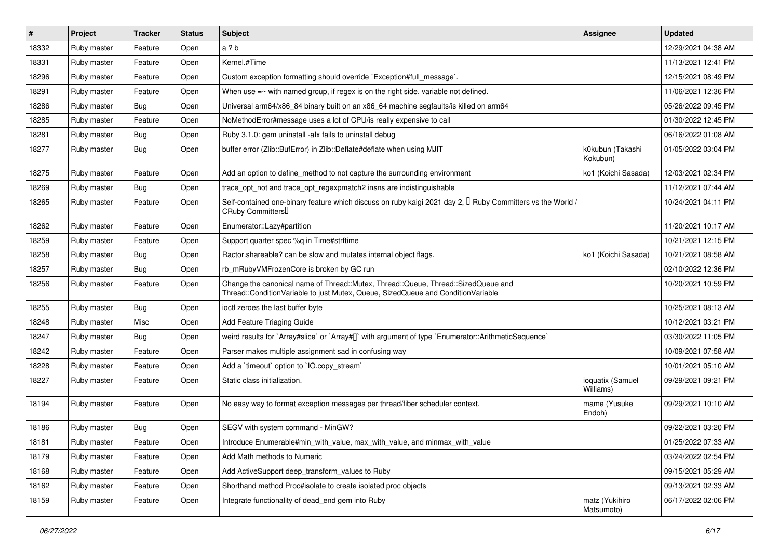| $\vert$ # | Project     | Tracker    | <b>Status</b> | <b>Subject</b>                                                                                                                                                        | <b>Assignee</b>               | <b>Updated</b>      |
|-----------|-------------|------------|---------------|-----------------------------------------------------------------------------------------------------------------------------------------------------------------------|-------------------------------|---------------------|
| 18332     | Ruby master | Feature    | Open          | a ? b                                                                                                                                                                 |                               | 12/29/2021 04:38 AM |
| 18331     | Ruby master | Feature    | Open          | Kernel.#Time                                                                                                                                                          |                               | 11/13/2021 12:41 PM |
| 18296     | Ruby master | Feature    | Open          | Custom exception formatting should override `Exception#full_message`.                                                                                                 |                               | 12/15/2021 08:49 PM |
| 18291     | Ruby master | Feature    | Open          | When use $=$ with named group, if regex is on the right side, variable not defined.                                                                                   |                               | 11/06/2021 12:36 PM |
| 18286     | Ruby master | <b>Bug</b> | Open          | Universal arm64/x86_84 binary built on an x86_64 machine segfaults/is killed on arm64                                                                                 |                               | 05/26/2022 09:45 PM |
| 18285     | Ruby master | Feature    | Open          | NoMethodError#message uses a lot of CPU/is really expensive to call                                                                                                   |                               | 01/30/2022 12:45 PM |
| 18281     | Ruby master | <b>Bug</b> | Open          | Ruby 3.1.0: gem uninstall -alx fails to uninstall debug                                                                                                               |                               | 06/16/2022 01:08 AM |
| 18277     | Ruby master | <b>Bug</b> | Open          | buffer error (Zlib::BufError) in Zlib::Deflate#deflate when using MJIT                                                                                                | k0kubun (Takashi<br>Kokubun)  | 01/05/2022 03:04 PM |
| 18275     | Ruby master | Feature    | Open          | Add an option to define_method to not capture the surrounding environment                                                                                             | ko1 (Koichi Sasada)           | 12/03/2021 02:34 PM |
| 18269     | Ruby master | Bug        | Open          | trace_opt_not and trace_opt_regexpmatch2 insns are indistinguishable                                                                                                  |                               | 11/12/2021 07:44 AM |
| 18265     | Ruby master | Feature    | Open          | Self-contained one-binary feature which discuss on ruby kaigi 2021 day 2, $\Box$ Ruby Committers vs the World /<br>CRuby Committers <sup>[]</sup>                     |                               | 10/24/2021 04:11 PM |
| 18262     | Ruby master | Feature    | Open          | Enumerator::Lazy#partition                                                                                                                                            |                               | 11/20/2021 10:17 AM |
| 18259     | Ruby master | Feature    | Open          | Support quarter spec %q in Time#strftime                                                                                                                              |                               | 10/21/2021 12:15 PM |
| 18258     | Ruby master | <b>Bug</b> | Open          | Ractor shareable? can be slow and mutates internal object flags.                                                                                                      | ko1 (Koichi Sasada)           | 10/21/2021 08:58 AM |
| 18257     | Ruby master | Bug        | Open          | rb_mRubyVMFrozenCore is broken by GC run                                                                                                                              |                               | 02/10/2022 12:36 PM |
| 18256     | Ruby master | Feature    | Open          | Change the canonical name of Thread::Mutex, Thread::Queue, Thread::SizedQueue and<br>Thread::ConditionVariable to just Mutex, Queue, SizedQueue and ConditionVariable |                               | 10/20/2021 10:59 PM |
| 18255     | Ruby master | Bug        | Open          | ioctl zeroes the last buffer byte                                                                                                                                     |                               | 10/25/2021 08:13 AM |
| 18248     | Ruby master | Misc       | Open          | Add Feature Triaging Guide                                                                                                                                            |                               | 10/12/2021 03:21 PM |
| 18247     | Ruby master | <b>Bug</b> | Open          | weird results for `Array#slice` or `Array#[]` with argument of type `Enumerator::ArithmeticSequence`                                                                  |                               | 03/30/2022 11:05 PM |
| 18242     | Ruby master | Feature    | Open          | Parser makes multiple assignment sad in confusing way                                                                                                                 |                               | 10/09/2021 07:58 AM |
| 18228     | Ruby master | Feature    | Open          | Add a 'timeout' option to 'IO.copy_stream'                                                                                                                            |                               | 10/01/2021 05:10 AM |
| 18227     | Ruby master | Feature    | Open          | Static class initialization.                                                                                                                                          | ioquatix (Samuel<br>Williams) | 09/29/2021 09:21 PM |
| 18194     | Ruby master | Feature    | Open          | No easy way to format exception messages per thread/fiber scheduler context.                                                                                          | mame (Yusuke<br>Endoh)        | 09/29/2021 10:10 AM |
| 18186     | Ruby master | Bug        | Open          | SEGV with system command - MinGW?                                                                                                                                     |                               | 09/22/2021 03:20 PM |
| 18181     | Ruby master | Feature    | Open          | Introduce Enumerable#min_with_value, max_with_value, and minmax_with_value                                                                                            |                               | 01/25/2022 07:33 AM |
| 18179     | Ruby master | Feature    | Open          | Add Math methods to Numeric                                                                                                                                           |                               | 03/24/2022 02:54 PM |
| 18168     | Ruby master | Feature    | Open          | Add ActiveSupport deep_transform_values to Ruby                                                                                                                       |                               | 09/15/2021 05:29 AM |
| 18162     | Ruby master | Feature    | Open          | Shorthand method Proc#isolate to create isolated proc objects                                                                                                         |                               | 09/13/2021 02:33 AM |
| 18159     | Ruby master | Feature    | Open          | Integrate functionality of dead_end gem into Ruby                                                                                                                     | matz (Yukihiro<br>Matsumoto)  | 06/17/2022 02:06 PM |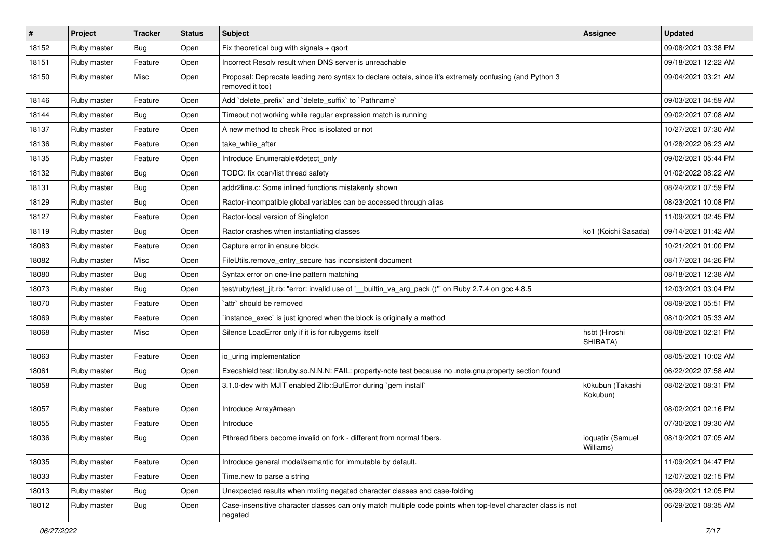| #     | Project     | <b>Tracker</b> | <b>Status</b> | Subject                                                                                                                    | <b>Assignee</b>               | <b>Updated</b>      |
|-------|-------------|----------------|---------------|----------------------------------------------------------------------------------------------------------------------------|-------------------------------|---------------------|
| 18152 | Ruby master | <b>Bug</b>     | Open          | Fix theoretical bug with signals + qsort                                                                                   |                               | 09/08/2021 03:38 PM |
| 18151 | Ruby master | Feature        | Open          | Incorrect Resolv result when DNS server is unreachable                                                                     |                               | 09/18/2021 12:22 AM |
| 18150 | Ruby master | Misc           | Open          | Proposal: Deprecate leading zero syntax to declare octals, since it's extremely confusing (and Python 3<br>removed it too) |                               | 09/04/2021 03:21 AM |
| 18146 | Ruby master | Feature        | Open          | Add 'delete_prefix' and 'delete_suffix' to 'Pathname'                                                                      |                               | 09/03/2021 04:59 AM |
| 18144 | Ruby master | Bug            | Open          | Timeout not working while regular expression match is running                                                              |                               | 09/02/2021 07:08 AM |
| 18137 | Ruby master | Feature        | Open          | A new method to check Proc is isolated or not                                                                              |                               | 10/27/2021 07:30 AM |
| 18136 | Ruby master | Feature        | Open          | take while after                                                                                                           |                               | 01/28/2022 06:23 AM |
| 18135 | Ruby master | Feature        | Open          | Introduce Enumerable#detect_only                                                                                           |                               | 09/02/2021 05:44 PM |
| 18132 | Ruby master | Bug            | Open          | TODO: fix ccan/list thread safety                                                                                          |                               | 01/02/2022 08:22 AM |
| 18131 | Ruby master | <b>Bug</b>     | Open          | addr2line.c: Some inlined functions mistakenly shown                                                                       |                               | 08/24/2021 07:59 PM |
| 18129 | Ruby master | <b>Bug</b>     | Open          | Ractor-incompatible global variables can be accessed through alias                                                         |                               | 08/23/2021 10:08 PM |
| 18127 | Ruby master | Feature        | Open          | Ractor-local version of Singleton                                                                                          |                               | 11/09/2021 02:45 PM |
| 18119 | Ruby master | <b>Bug</b>     | Open          | Ractor crashes when instantiating classes                                                                                  | ko1 (Koichi Sasada)           | 09/14/2021 01:42 AM |
| 18083 | Ruby master | Feature        | Open          | Capture error in ensure block.                                                                                             |                               | 10/21/2021 01:00 PM |
| 18082 | Ruby master | Misc           | Open          | FileUtils.remove_entry_secure has inconsistent document                                                                    |                               | 08/17/2021 04:26 PM |
| 18080 | Ruby master | <b>Bug</b>     | Open          | Syntax error on one-line pattern matching                                                                                  |                               | 08/18/2021 12:38 AM |
| 18073 | Ruby master | Bug            | Open          | test/ruby/test_jit.rb: "error: invalid use of '__builtin_va_arg_pack ()"" on Ruby 2.7.4 on gcc 4.8.5                       |                               | 12/03/2021 03:04 PM |
| 18070 | Ruby master | Feature        | Open          | `attr` should be removed                                                                                                   |                               | 08/09/2021 05:51 PM |
| 18069 | Ruby master | Feature        | Open          | instance_exec` is just ignored when the block is originally a method                                                       |                               | 08/10/2021 05:33 AM |
| 18068 | Ruby master | Misc           | Open          | Silence LoadError only if it is for rubygems itself                                                                        | hsbt (Hiroshi<br>SHIBATA)     | 08/08/2021 02:21 PM |
| 18063 | Ruby master | Feature        | Open          | io_uring implementation                                                                                                    |                               | 08/05/2021 10:02 AM |
| 18061 | Ruby master | <b>Bug</b>     | Open          | Execshield test: libruby.so.N.N.N: FAIL: property-note test because no .note.gnu.property section found                    |                               | 06/22/2022 07:58 AM |
| 18058 | Ruby master | <b>Bug</b>     | Open          | 3.1.0-dev with MJIT enabled Zlib::BufError during `gem install`                                                            | k0kubun (Takashi<br>Kokubun)  | 08/02/2021 08:31 PM |
| 18057 | Ruby master | Feature        | Open          | Introduce Array#mean                                                                                                       |                               | 08/02/2021 02:16 PM |
| 18055 | Ruby master | Feature        | Open          | Introduce                                                                                                                  |                               | 07/30/2021 09:30 AM |
| 18036 | Ruby master | Bug            | Open          | Pthread fibers become invalid on fork - different from normal fibers.                                                      | ioquatix (Samuel<br>Williams) | 08/19/2021 07:05 AM |
| 18035 | Ruby master | Feature        | Open          | Introduce general model/semantic for immutable by default.                                                                 |                               | 11/09/2021 04:47 PM |
| 18033 | Ruby master | Feature        | Open          | Time.new to parse a string                                                                                                 |                               | 12/07/2021 02:15 PM |
| 18013 | Ruby master | <b>Bug</b>     | Open          | Unexpected results when mxiing negated character classes and case-folding                                                  |                               | 06/29/2021 12:05 PM |
| 18012 | Ruby master | <b>Bug</b>     | Open          | Case-insensitive character classes can only match multiple code points when top-level character class is not<br>negated    |                               | 06/29/2021 08:35 AM |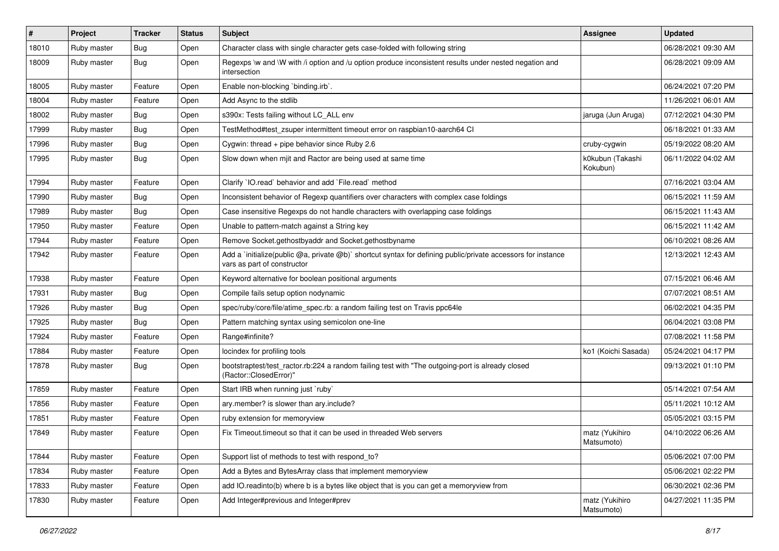| $\vert$ # | Project     | <b>Tracker</b> | <b>Status</b> | Subject                                                                                                                                     | <b>Assignee</b>              | <b>Updated</b>      |
|-----------|-------------|----------------|---------------|---------------------------------------------------------------------------------------------------------------------------------------------|------------------------------|---------------------|
| 18010     | Ruby master | <b>Bug</b>     | Open          | Character class with single character gets case-folded with following string                                                                |                              | 06/28/2021 09:30 AM |
| 18009     | Ruby master | Bug            | Open          | Regexps \w and \W with /i option and /u option produce inconsistent results under nested negation and<br>intersection                       |                              | 06/28/2021 09:09 AM |
| 18005     | Ruby master | Feature        | Open          | Enable non-blocking 'binding.irb'.                                                                                                          |                              | 06/24/2021 07:20 PM |
| 18004     | Ruby master | Feature        | Open          | Add Async to the stdlib                                                                                                                     |                              | 11/26/2021 06:01 AM |
| 18002     | Ruby master | Bug            | Open          | s390x: Tests failing without LC_ALL env                                                                                                     | jaruga (Jun Aruga)           | 07/12/2021 04:30 PM |
| 17999     | Ruby master | <b>Bug</b>     | Open          | TestMethod#test zsuper intermittent timeout error on raspbian10-aarch64 CI                                                                  |                              | 06/18/2021 01:33 AM |
| 17996     | Ruby master | Bug            | Open          | Cygwin: thread + pipe behavior since Ruby 2.6                                                                                               | cruby-cygwin                 | 05/19/2022 08:20 AM |
| 17995     | Ruby master | Bug            | Open          | Slow down when mjit and Ractor are being used at same time                                                                                  | k0kubun (Takashi<br>Kokubun) | 06/11/2022 04:02 AM |
| 17994     | Ruby master | Feature        | Open          | Clarify 'IO.read' behavior and add 'File.read' method                                                                                       |                              | 07/16/2021 03:04 AM |
| 17990     | Ruby master | <b>Bug</b>     | Open          | Inconsistent behavior of Regexp quantifiers over characters with complex case foldings                                                      |                              | 06/15/2021 11:59 AM |
| 17989     | Ruby master | Bug            | Open          | Case insensitive Regexps do not handle characters with overlapping case foldings                                                            |                              | 06/15/2021 11:43 AM |
| 17950     | Ruby master | Feature        | Open          | Unable to pattern-match against a String key                                                                                                |                              | 06/15/2021 11:42 AM |
| 17944     | Ruby master | Feature        | Open          | Remove Socket.gethostbyaddr and Socket.gethostbyname                                                                                        |                              | 06/10/2021 08:26 AM |
| 17942     | Ruby master | Feature        | Open          | Add a `initialize(public @a, private @b)` shortcut syntax for defining public/private accessors for instance<br>vars as part of constructor |                              | 12/13/2021 12:43 AM |
| 17938     | Ruby master | Feature        | Open          | Keyword alternative for boolean positional arguments                                                                                        |                              | 07/15/2021 06:46 AM |
| 17931     | Ruby master | Bug            | Open          | Compile fails setup option nodynamic                                                                                                        |                              | 07/07/2021 08:51 AM |
| 17926     | Ruby master | <b>Bug</b>     | Open          | spec/ruby/core/file/atime_spec.rb: a random failing test on Travis ppc64le                                                                  |                              | 06/02/2021 04:35 PM |
| 17925     | Ruby master | Bug            | Open          | Pattern matching syntax using semicolon one-line                                                                                            |                              | 06/04/2021 03:08 PM |
| 17924     | Ruby master | Feature        | Open          | Range#infinite?                                                                                                                             |                              | 07/08/2021 11:58 PM |
| 17884     | Ruby master | Feature        | Open          | locindex for profiling tools                                                                                                                | ko1 (Koichi Sasada)          | 05/24/2021 04:17 PM |
| 17878     | Ruby master | Bug            | Open          | bootstraptest/test_ractor.rb:224 a random failing test with "The outgoing-port is already closed<br>(Ractor::ClosedError)"                  |                              | 09/13/2021 01:10 PM |
| 17859     | Ruby master | Feature        | Open          | Start IRB when running just `ruby`                                                                                                          |                              | 05/14/2021 07:54 AM |
| 17856     | Ruby master | Feature        | Open          | ary.member? is slower than ary.include?                                                                                                     |                              | 05/11/2021 10:12 AM |
| 17851     | Ruby master | Feature        | Open          | ruby extension for memoryview                                                                                                               |                              | 05/05/2021 03:15 PM |
| 17849     | Ruby master | Feature        | Open          | Fix Timeout timeout so that it can be used in threaded Web servers                                                                          | matz (Yukihiro<br>Matsumoto) | 04/10/2022 06:26 AM |
| 17844     | Ruby master | Feature        | Open          | Support list of methods to test with respond_to?                                                                                            |                              | 05/06/2021 07:00 PM |
| 17834     | Ruby master | Feature        | Open          | Add a Bytes and BytesArray class that implement memoryview                                                                                  |                              | 05/06/2021 02:22 PM |
| 17833     | Ruby master | Feature        | Open          | add IO.readinto(b) where b is a bytes like object that is you can get a memoryview from                                                     |                              | 06/30/2021 02:36 PM |
| 17830     | Ruby master | Feature        | Open          | Add Integer#previous and Integer#prev                                                                                                       | matz (Yukihiro<br>Matsumoto) | 04/27/2021 11:35 PM |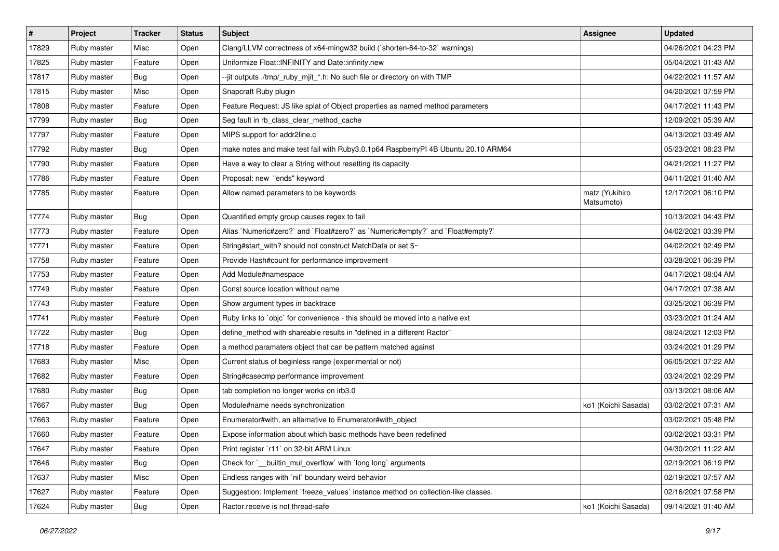| $\vert$ # | Project     | Tracker    | <b>Status</b> | Subject                                                                           | <b>Assignee</b>              | <b>Updated</b>      |
|-----------|-------------|------------|---------------|-----------------------------------------------------------------------------------|------------------------------|---------------------|
| 17829     | Ruby master | Misc       | Open          | Clang/LLVM correctness of x64-mingw32 build (`shorten-64-to-32` warnings)         |                              | 04/26/2021 04:23 PM |
| 17825     | Ruby master | Feature    | Open          | Uniformize Float:: INFINITY and Date:: infinity.new                               |                              | 05/04/2021 01:43 AM |
| 17817     | Ruby master | Bug        | Open          | --jit outputs ./tmp/_ruby_mjit_*.h: No such file or directory on with TMP         |                              | 04/22/2021 11:57 AM |
| 17815     | Ruby master | Misc       | Open          | Snapcraft Ruby plugin                                                             |                              | 04/20/2021 07:59 PM |
| 17808     | Ruby master | Feature    | Open          | Feature Request: JS like splat of Object properties as named method parameters    |                              | 04/17/2021 11:43 PM |
| 17799     | Ruby master | <b>Bug</b> | Open          | Seg fault in rb_class_clear_method_cache                                          |                              | 12/09/2021 05:39 AM |
| 17797     | Ruby master | Feature    | Open          | MIPS support for addr2line.c                                                      |                              | 04/13/2021 03:49 AM |
| 17792     | Ruby master | Bug        | Open          | make notes and make test fail with Ruby3.0.1p64 RaspberryPI 4B Ubuntu 20.10 ARM64 |                              | 05/23/2021 08:23 PM |
| 17790     | Ruby master | Feature    | Open          | Have a way to clear a String without resetting its capacity                       |                              | 04/21/2021 11:27 PM |
| 17786     | Ruby master | Feature    | Open          | Proposal: new "ends" keyword                                                      |                              | 04/11/2021 01:40 AM |
| 17785     | Ruby master | Feature    | Open          | Allow named parameters to be keywords                                             | matz (Yukihiro<br>Matsumoto) | 12/17/2021 06:10 PM |
| 17774     | Ruby master | Bug        | Open          | Quantified empty group causes regex to fail                                       |                              | 10/13/2021 04:43 PM |
| 17773     | Ruby master | Feature    | Open          | Alias `Numeric#zero?` and `Float#zero?` as `Numeric#empty?` and `Float#empty?`    |                              | 04/02/2021 03:39 PM |
| 17771     | Ruby master | Feature    | Open          | String#start_with? should not construct MatchData or set \$~                      |                              | 04/02/2021 02:49 PM |
| 17758     | Ruby master | Feature    | Open          | Provide Hash#count for performance improvement                                    |                              | 03/28/2021 06:39 PM |
| 17753     | Ruby master | Feature    | Open          | Add Module#namespace                                                              |                              | 04/17/2021 08:04 AM |
| 17749     | Ruby master | Feature    | Open          | Const source location without name                                                |                              | 04/17/2021 07:38 AM |
| 17743     | Ruby master | Feature    | Open          | Show argument types in backtrace                                                  |                              | 03/25/2021 06:39 PM |
| 17741     | Ruby master | Feature    | Open          | Ruby links to `objc` for convenience - this should be moved into a native ext     |                              | 03/23/2021 01:24 AM |
| 17722     | Ruby master | <b>Bug</b> | Open          | define_method with shareable results in "defined in a different Ractor"           |                              | 08/24/2021 12:03 PM |
| 17718     | Ruby master | Feature    | Open          | a method paramaters object that can be pattern matched against                    |                              | 03/24/2021 01:29 PM |
| 17683     | Ruby master | Misc       | Open          | Current status of beginless range (experimental or not)                           |                              | 06/05/2021 07:22 AM |
| 17682     | Ruby master | Feature    | Open          | String#casecmp performance improvement                                            |                              | 03/24/2021 02:29 PM |
| 17680     | Ruby master | Bug        | Open          | tab completion no longer works on irb3.0                                          |                              | 03/13/2021 08:06 AM |
| 17667     | Ruby master | Bug        | Open          | Module#name needs synchronization                                                 | ko1 (Koichi Sasada)          | 03/02/2021 07:31 AM |
| 17663     | Ruby master | Feature    | Open          | Enumerator#with, an alternative to Enumerator#with object                         |                              | 03/02/2021 05:48 PM |
| 17660     | Ruby master | Feature    | Open          | Expose information about which basic methods have been redefined                  |                              | 03/02/2021 03:31 PM |
| 17647     | Ruby master | Feature    | Open          | Print register `r11` on 32-bit ARM Linux                                          |                              | 04/30/2021 11:22 AM |
| 17646     | Ruby master | <b>Bug</b> | Open          | Check for `__builtin_mul_overflow` with `long long` arguments                     |                              | 02/19/2021 06:19 PM |
| 17637     | Ruby master | Misc       | Open          | Endless ranges with `nil` boundary weird behavior                                 |                              | 02/19/2021 07:57 AM |
| 17627     | Ruby master | Feature    | Open          | Suggestion: Implement `freeze_values` instance method on collection-like classes. |                              | 02/16/2021 07:58 PM |
| 17624     | Ruby master | <b>Bug</b> | Open          | Ractor.receive is not thread-safe                                                 | ko1 (Koichi Sasada)          | 09/14/2021 01:40 AM |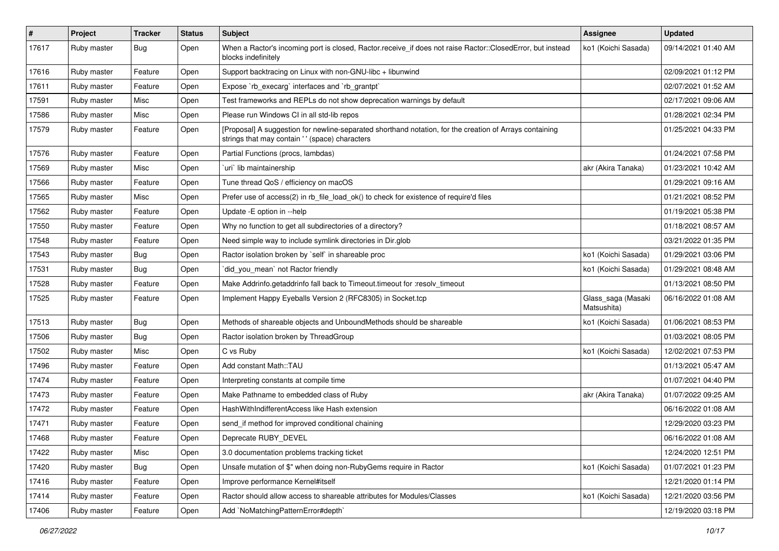| $\vert$ # | Project     | <b>Tracker</b> | <b>Status</b> | <b>Subject</b>                                                                                                                                             | Assignee                          | <b>Updated</b>      |
|-----------|-------------|----------------|---------------|------------------------------------------------------------------------------------------------------------------------------------------------------------|-----------------------------------|---------------------|
| 17617     | Ruby master | Bug            | Open          | When a Ractor's incoming port is closed, Ractor.receive_if does not raise Ractor::ClosedError, but instead<br>blocks indefinitely                          | ko1 (Koichi Sasada)               | 09/14/2021 01:40 AM |
| 17616     | Ruby master | Feature        | Open          | Support backtracing on Linux with non-GNU-libc + libunwind                                                                                                 |                                   | 02/09/2021 01:12 PM |
| 17611     | Ruby master | Feature        | Open          | Expose `rb_execarg` interfaces and `rb_grantpt`                                                                                                            |                                   | 02/07/2021 01:52 AM |
| 17591     | Ruby master | Misc           | Open          | Test frameworks and REPLs do not show deprecation warnings by default                                                                                      |                                   | 02/17/2021 09:06 AM |
| 17586     | Ruby master | Misc           | Open          | Please run Windows CI in all std-lib repos                                                                                                                 |                                   | 01/28/2021 02:34 PM |
| 17579     | Ruby master | Feature        | Open          | [Proposal] A suggestion for newline-separated shorthand notation, for the creation of Arrays containing<br>strings that may contain ' ' (space) characters |                                   | 01/25/2021 04:33 PM |
| 17576     | Ruby master | Feature        | Open          | Partial Functions (procs, lambdas)                                                                                                                         |                                   | 01/24/2021 07:58 PM |
| 17569     | Ruby master | Misc           | Open          | uri`lib maintainership                                                                                                                                     | akr (Akira Tanaka)                | 01/23/2021 10:42 AM |
| 17566     | Ruby master | Feature        | Open          | Tune thread QoS / efficiency on macOS                                                                                                                      |                                   | 01/29/2021 09:16 AM |
| 17565     | Ruby master | Misc           | Open          | Prefer use of access(2) in rb_file_load_ok() to check for existence of require'd files                                                                     |                                   | 01/21/2021 08:52 PM |
| 17562     | Ruby master | Feature        | Open          | Update - E option in --help                                                                                                                                |                                   | 01/19/2021 05:38 PM |
| 17550     | Ruby master | Feature        | Open          | Why no function to get all subdirectories of a directory?                                                                                                  |                                   | 01/18/2021 08:57 AM |
| 17548     | Ruby master | Feature        | Open          | Need simple way to include symlink directories in Dir.glob                                                                                                 |                                   | 03/21/2022 01:35 PM |
| 17543     | Ruby master | <b>Bug</b>     | Open          | Ractor isolation broken by `self` in shareable proc                                                                                                        | ko1 (Koichi Sasada)               | 01/29/2021 03:06 PM |
| 17531     | Ruby master | Bug            | Open          | did_you_mean` not Ractor friendly                                                                                                                          | ko1 (Koichi Sasada)               | 01/29/2021 08:48 AM |
| 17528     | Ruby master | Feature        | Open          | Make Addrinfo.getaddrinfo fall back to Timeout.timeout for :resolv_timeout                                                                                 |                                   | 01/13/2021 08:50 PM |
| 17525     | Ruby master | Feature        | Open          | Implement Happy Eyeballs Version 2 (RFC8305) in Socket.tcp                                                                                                 | Glass_saga (Masaki<br>Matsushita) | 06/16/2022 01:08 AM |
| 17513     | Ruby master | Bug            | Open          | Methods of shareable objects and UnboundMethods should be shareable                                                                                        | ko1 (Koichi Sasada)               | 01/06/2021 08:53 PM |
| 17506     | Ruby master | Bug            | Open          | Ractor isolation broken by ThreadGroup                                                                                                                     |                                   | 01/03/2021 08:05 PM |
| 17502     | Ruby master | Misc           | Open          | C vs Ruby                                                                                                                                                  | ko1 (Koichi Sasada)               | 12/02/2021 07:53 PM |
| 17496     | Ruby master | Feature        | Open          | Add constant Math::TAU                                                                                                                                     |                                   | 01/13/2021 05:47 AM |
| 17474     | Ruby master | Feature        | Open          | Interpreting constants at compile time                                                                                                                     |                                   | 01/07/2021 04:40 PM |
| 17473     | Ruby master | Feature        | Open          | Make Pathname to embedded class of Ruby                                                                                                                    | akr (Akira Tanaka)                | 01/07/2022 09:25 AM |
| 17472     | Ruby master | Feature        | Open          | HashWithIndifferentAccess like Hash extension                                                                                                              |                                   | 06/16/2022 01:08 AM |
| 17471     | Ruby master | Feature        | Open          | send_if method for improved conditional chaining                                                                                                           |                                   | 12/29/2020 03:23 PM |
| 17468     | Ruby master | Feature        | Open          | Deprecate RUBY_DEVEL                                                                                                                                       |                                   | 06/16/2022 01:08 AM |
| 17422     | Ruby master | Misc           | Open          | 3.0 documentation problems tracking ticket                                                                                                                 |                                   | 12/24/2020 12:51 PM |
| 17420     | Ruby master | Bug            | Open          | Unsafe mutation of \$" when doing non-RubyGems require in Ractor                                                                                           | ko1 (Koichi Sasada)               | 01/07/2021 01:23 PM |
| 17416     | Ruby master | Feature        | Open          | Improve performance Kernel#itself                                                                                                                          |                                   | 12/21/2020 01:14 PM |
| 17414     | Ruby master | Feature        | Open          | Ractor should allow access to shareable attributes for Modules/Classes                                                                                     | ko1 (Koichi Sasada)               | 12/21/2020 03:56 PM |
| 17406     | Ruby master | Feature        | Open          | Add `NoMatchingPatternError#depth`                                                                                                                         |                                   | 12/19/2020 03:18 PM |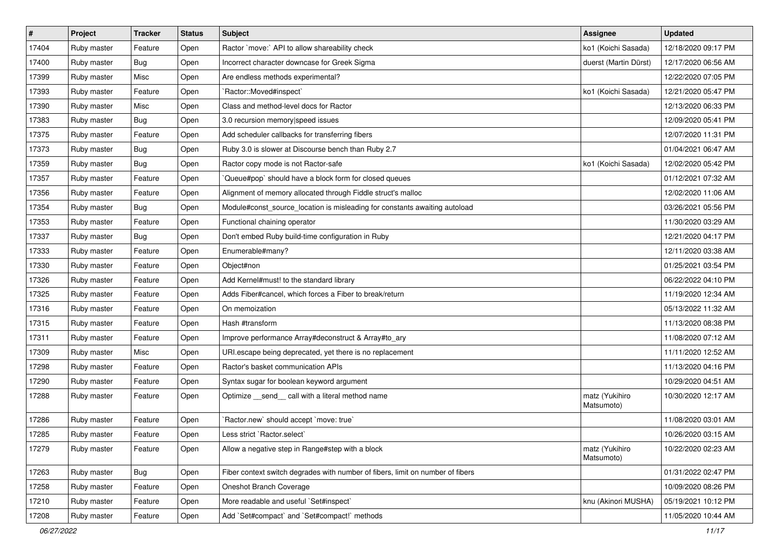| $\vert$ # | Project     | Tracker | <b>Status</b> | <b>Subject</b>                                                                 | <b>Assignee</b>              | <b>Updated</b>      |
|-----------|-------------|---------|---------------|--------------------------------------------------------------------------------|------------------------------|---------------------|
| 17404     | Ruby master | Feature | Open          | Ractor `move:` API to allow shareability check                                 | ko1 (Koichi Sasada)          | 12/18/2020 09:17 PM |
| 17400     | Ruby master | Bug     | Open          | Incorrect character downcase for Greek Sigma                                   | duerst (Martin Dürst)        | 12/17/2020 06:56 AM |
| 17399     | Ruby master | Misc    | Open          | Are endless methods experimental?                                              |                              | 12/22/2020 07:05 PM |
| 17393     | Ruby master | Feature | Open          | 'Ractor::Moved#inspect'                                                        | ko1 (Koichi Sasada)          | 12/21/2020 05:47 PM |
| 17390     | Ruby master | Misc    | Open          | Class and method-level docs for Ractor                                         |                              | 12/13/2020 06:33 PM |
| 17383     | Ruby master | Bug     | Open          | 3.0 recursion memory speed issues                                              |                              | 12/09/2020 05:41 PM |
| 17375     | Ruby master | Feature | Open          | Add scheduler callbacks for transferring fibers                                |                              | 12/07/2020 11:31 PM |
| 17373     | Ruby master | Bug     | Open          | Ruby 3.0 is slower at Discourse bench than Ruby 2.7                            |                              | 01/04/2021 06:47 AM |
| 17359     | Ruby master | Bug     | Open          | Ractor copy mode is not Ractor-safe                                            | ko1 (Koichi Sasada)          | 12/02/2020 05:42 PM |
| 17357     | Ruby master | Feature | Open          | Queue#pop` should have a block form for closed queues                          |                              | 01/12/2021 07:32 AM |
| 17356     | Ruby master | Feature | Open          | Alignment of memory allocated through Fiddle struct's malloc                   |                              | 12/02/2020 11:06 AM |
| 17354     | Ruby master | Bug     | Open          | Module#const_source_location is misleading for constants awaiting autoload     |                              | 03/26/2021 05:56 PM |
| 17353     | Ruby master | Feature | Open          | Functional chaining operator                                                   |                              | 11/30/2020 03:29 AM |
| 17337     | Ruby master | Bug     | Open          | Don't embed Ruby build-time configuration in Ruby                              |                              | 12/21/2020 04:17 PM |
| 17333     | Ruby master | Feature | Open          | Enumerable#many?                                                               |                              | 12/11/2020 03:38 AM |
| 17330     | Ruby master | Feature | Open          | Object#non                                                                     |                              | 01/25/2021 03:54 PM |
| 17326     | Ruby master | Feature | Open          | Add Kernel#must! to the standard library                                       |                              | 06/22/2022 04:10 PM |
| 17325     | Ruby master | Feature | Open          | Adds Fiber#cancel, which forces a Fiber to break/return                        |                              | 11/19/2020 12:34 AM |
| 17316     | Ruby master | Feature | Open          | On memoization                                                                 |                              | 05/13/2022 11:32 AM |
| 17315     | Ruby master | Feature | Open          | Hash #transform                                                                |                              | 11/13/2020 08:38 PM |
| 17311     | Ruby master | Feature | Open          | Improve performance Array#deconstruct & Array#to_ary                           |                              | 11/08/2020 07:12 AM |
| 17309     | Ruby master | Misc    | Open          | URI.escape being deprecated, yet there is no replacement                       |                              | 11/11/2020 12:52 AM |
| 17298     | Ruby master | Feature | Open          | Ractor's basket communication APIs                                             |                              | 11/13/2020 04:16 PM |
| 17290     | Ruby master | Feature | Open          | Syntax sugar for boolean keyword argument                                      |                              | 10/29/2020 04:51 AM |
| 17288     | Ruby master | Feature | Open          | Optimize _send_call with a literal method name                                 | matz (Yukihiro<br>Matsumoto) | 10/30/2020 12:17 AM |
| 17286     | Ruby master | Feature | Open          | 'Ractor.new' should accept 'move: true'                                        |                              | 11/08/2020 03:01 AM |
| 17285     | Ruby master | Feature | Open          | Less strict `Ractor.select`                                                    |                              | 10/26/2020 03:15 AM |
| 17279     | Ruby master | Feature | Open          | Allow a negative step in Range#step with a block                               | matz (Yukihiro<br>Matsumoto) | 10/22/2020 02:23 AM |
| 17263     | Ruby master | Bug     | Open          | Fiber context switch degrades with number of fibers, limit on number of fibers |                              | 01/31/2022 02:47 PM |
| 17258     | Ruby master | Feature | Open          | Oneshot Branch Coverage                                                        |                              | 10/09/2020 08:26 PM |
| 17210     | Ruby master | Feature | Open          | More readable and useful `Set#inspect`                                         | knu (Akinori MUSHA)          | 05/19/2021 10:12 PM |
| 17208     | Ruby master | Feature | Open          | Add `Set#compact` and `Set#compact!` methods                                   |                              | 11/05/2020 10:44 AM |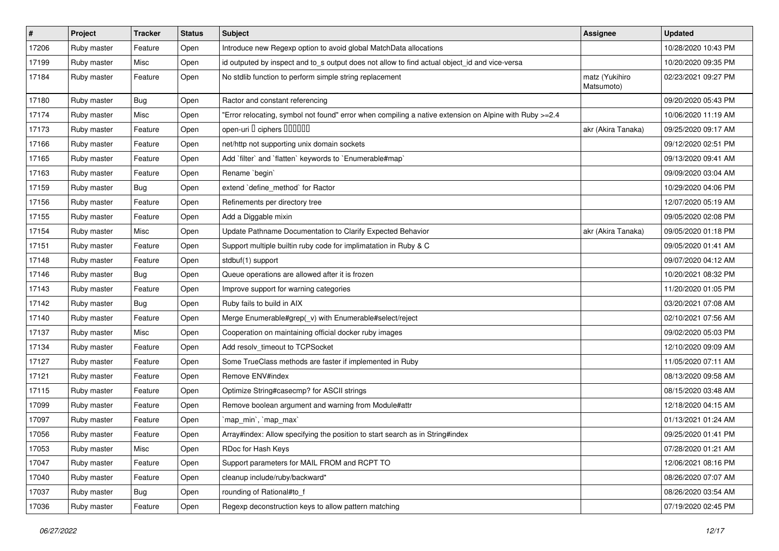| $\vert$ # | Project     | <b>Tracker</b> | <b>Status</b> | Subject                                                                                                | <b>Assignee</b>              | <b>Updated</b>      |
|-----------|-------------|----------------|---------------|--------------------------------------------------------------------------------------------------------|------------------------------|---------------------|
| 17206     | Ruby master | Feature        | Open          | Introduce new Regexp option to avoid global MatchData allocations                                      |                              | 10/28/2020 10:43 PM |
| 17199     | Ruby master | Misc           | Open          | id outputed by inspect and to_s output does not allow to find actual object_id and vice-versa          |                              | 10/20/2020 09:35 PM |
| 17184     | Ruby master | Feature        | Open          | No stdlib function to perform simple string replacement                                                | matz (Yukihiro<br>Matsumoto) | 02/23/2021 09:27 PM |
| 17180     | Ruby master | Bug            | Open          | Ractor and constant referencing                                                                        |                              | 09/20/2020 05:43 PM |
| 17174     | Ruby master | Misc           | Open          | 'Error relocating, symbol not found" error when compiling a native extension on Alpine with Ruby >=2.4 |                              | 10/06/2020 11:19 AM |
| 17173     | Ruby master | Feature        | Open          | open-uri I ciphers IIIIIII                                                                             | akr (Akira Tanaka)           | 09/25/2020 09:17 AM |
| 17166     | Ruby master | Feature        | Open          | net/http not supporting unix domain sockets                                                            |                              | 09/12/2020 02:51 PM |
| 17165     | Ruby master | Feature        | Open          | Add 'filter' and 'flatten' keywords to 'Enumerable#map'                                                |                              | 09/13/2020 09:41 AM |
| 17163     | Ruby master | Feature        | Open          | Rename `begin`                                                                                         |                              | 09/09/2020 03:04 AM |
| 17159     | Ruby master | Bug            | Open          | extend `define_method` for Ractor                                                                      |                              | 10/29/2020 04:06 PM |
| 17156     | Ruby master | Feature        | Open          | Refinements per directory tree                                                                         |                              | 12/07/2020 05:19 AM |
| 17155     | Ruby master | Feature        | Open          | Add a Diggable mixin                                                                                   |                              | 09/05/2020 02:08 PM |
| 17154     | Ruby master | Misc           | Open          | Update Pathname Documentation to Clarify Expected Behavior                                             | akr (Akira Tanaka)           | 09/05/2020 01:18 PM |
| 17151     | Ruby master | Feature        | Open          | Support multiple builtin ruby code for implimatation in Ruby & C                                       |                              | 09/05/2020 01:41 AM |
| 17148     | Ruby master | Feature        | Open          | stdbuf(1) support                                                                                      |                              | 09/07/2020 04:12 AM |
| 17146     | Ruby master | Bug            | Open          | Queue operations are allowed after it is frozen                                                        |                              | 10/20/2021 08:32 PM |
| 17143     | Ruby master | Feature        | Open          | Improve support for warning categories                                                                 |                              | 11/20/2020 01:05 PM |
| 17142     | Ruby master | <b>Bug</b>     | Open          | Ruby fails to build in AIX                                                                             |                              | 03/20/2021 07:08 AM |
| 17140     | Ruby master | Feature        | Open          | Merge Enumerable#grep(_v) with Enumerable#select/reject                                                |                              | 02/10/2021 07:56 AM |
| 17137     | Ruby master | Misc           | Open          | Cooperation on maintaining official docker ruby images                                                 |                              | 09/02/2020 05:03 PM |
| 17134     | Ruby master | Feature        | Open          | Add resolv_timeout to TCPSocket                                                                        |                              | 12/10/2020 09:09 AM |
| 17127     | Ruby master | Feature        | Open          | Some TrueClass methods are faster if implemented in Ruby                                               |                              | 11/05/2020 07:11 AM |
| 17121     | Ruby master | Feature        | Open          | Remove ENV#index                                                                                       |                              | 08/13/2020 09:58 AM |
| 17115     | Ruby master | Feature        | Open          | Optimize String#casecmp? for ASCII strings                                                             |                              | 08/15/2020 03:48 AM |
| 17099     | Ruby master | Feature        | Open          | Remove boolean argument and warning from Module#attr                                                   |                              | 12/18/2020 04:15 AM |
| 17097     | Ruby master | Feature        | Open          | `map_min`, `map_max`                                                                                   |                              | 01/13/2021 01:24 AM |
| 17056     | Ruby master | Feature        | Open          | Array#index: Allow specifying the position to start search as in String#index                          |                              | 09/25/2020 01:41 PM |
| 17053     | Ruby master | Misc           | Open          | RDoc for Hash Keys                                                                                     |                              | 07/28/2020 01:21 AM |
| 17047     | Ruby master | Feature        | Open          | Support parameters for MAIL FROM and RCPT TO                                                           |                              | 12/06/2021 08:16 PM |
| 17040     | Ruby master | Feature        | Open          | cleanup include/ruby/backward*                                                                         |                              | 08/26/2020 07:07 AM |
| 17037     | Ruby master | <b>Bug</b>     | Open          | rounding of Rational#to_f                                                                              |                              | 08/26/2020 03:54 AM |
| 17036     | Ruby master | Feature        | Open          | Regexp deconstruction keys to allow pattern matching                                                   |                              | 07/19/2020 02:45 PM |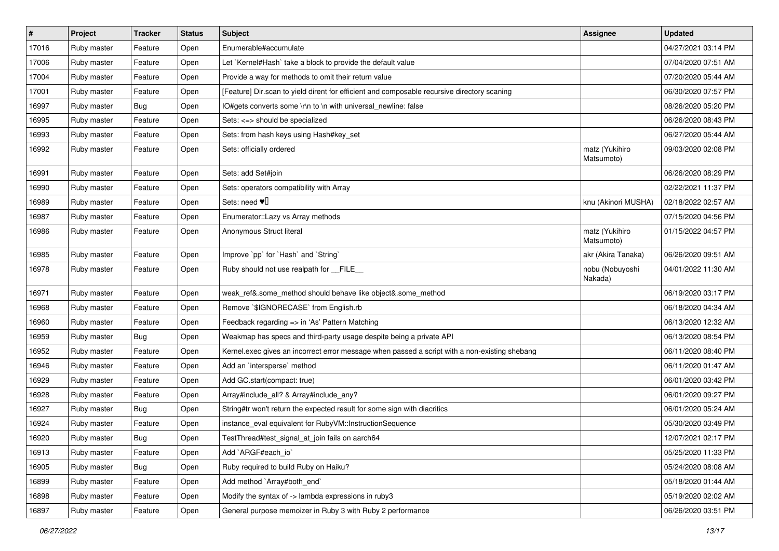| $\vert$ # | Project     | <b>Tracker</b> | <b>Status</b> | <b>Subject</b>                                                                                | <b>Assignee</b>              | <b>Updated</b>      |
|-----------|-------------|----------------|---------------|-----------------------------------------------------------------------------------------------|------------------------------|---------------------|
| 17016     | Ruby master | Feature        | Open          | Enumerable#accumulate                                                                         |                              | 04/27/2021 03:14 PM |
| 17006     | Ruby master | Feature        | Open          | Let `Kernel#Hash` take a block to provide the default value                                   |                              | 07/04/2020 07:51 AM |
| 17004     | Ruby master | Feature        | Open          | Provide a way for methods to omit their return value                                          |                              | 07/20/2020 05:44 AM |
| 17001     | Ruby master | Feature        | Open          | [Feature] Dir.scan to yield dirent for efficient and composable recursive directory scaning   |                              | 06/30/2020 07:57 PM |
| 16997     | Ruby master | Bug            | Open          | IO#gets converts some \r\n to \n with universal_newline: false                                |                              | 08/26/2020 05:20 PM |
| 16995     | Ruby master | Feature        | Open          | Sets: <=> should be specialized                                                               |                              | 06/26/2020 08:43 PM |
| 16993     | Ruby master | Feature        | Open          | Sets: from hash keys using Hash#key_set                                                       |                              | 06/27/2020 05:44 AM |
| 16992     | Ruby master | Feature        | Open          | Sets: officially ordered                                                                      | matz (Yukihiro<br>Matsumoto) | 09/03/2020 02:08 PM |
| 16991     | Ruby master | Feature        | Open          | Sets: add Set#join                                                                            |                              | 06/26/2020 08:29 PM |
| 16990     | Ruby master | Feature        | Open          | Sets: operators compatibility with Array                                                      |                              | 02/22/2021 11:37 PM |
| 16989     | Ruby master | Feature        | Open          | Sets: need $\Psi$                                                                             | knu (Akinori MUSHA)          | 02/18/2022 02:57 AM |
| 16987     | Ruby master | Feature        | Open          | Enumerator:: Lazy vs Array methods                                                            |                              | 07/15/2020 04:56 PM |
| 16986     | Ruby master | Feature        | Open          | Anonymous Struct literal                                                                      | matz (Yukihiro<br>Matsumoto) | 01/15/2022 04:57 PM |
| 16985     | Ruby master | Feature        | Open          | Improve `pp` for `Hash` and `String`                                                          | akr (Akira Tanaka)           | 06/26/2020 09:51 AM |
| 16978     | Ruby master | Feature        | Open          | Ruby should not use realpath for __FILE__                                                     | nobu (Nobuyoshi<br>Nakada)   | 04/01/2022 11:30 AM |
| 16971     | Ruby master | Feature        | Open          | weak_ref&.some_method should behave like object&.some_method                                  |                              | 06/19/2020 03:17 PM |
| 16968     | Ruby master | Feature        | Open          | Remove `\$IGNORECASE` from English.rb                                                         |                              | 06/18/2020 04:34 AM |
| 16960     | Ruby master | Feature        | Open          | Feedback regarding => in 'As' Pattern Matching                                                |                              | 06/13/2020 12:32 AM |
| 16959     | Ruby master | Bug            | Open          | Weakmap has specs and third-party usage despite being a private API                           |                              | 06/13/2020 08:54 PM |
| 16952     | Ruby master | Feature        | Open          | Kernel.exec gives an incorrect error message when passed a script with a non-existing shebang |                              | 06/11/2020 08:40 PM |
| 16946     | Ruby master | Feature        | Open          | Add an 'intersperse' method                                                                   |                              | 06/11/2020 01:47 AM |
| 16929     | Ruby master | Feature        | Open          | Add GC.start(compact: true)                                                                   |                              | 06/01/2020 03:42 PM |
| 16928     | Ruby master | Feature        | Open          | Array#include_all? & Array#include_any?                                                       |                              | 06/01/2020 09:27 PM |
| 16927     | Ruby master | Bug            | Open          | String#tr won't return the expected result for some sign with diacritics                      |                              | 06/01/2020 05:24 AM |
| 16924     | Ruby master | Feature        | Open          | instance_eval equivalent for RubyVM::InstructionSequence                                      |                              | 05/30/2020 03:49 PM |
| 16920     | Ruby master | Bug            | Open          | TestThread#test_signal_at_join fails on aarch64                                               |                              | 12/07/2021 02:17 PM |
| 16913     | Ruby master | Feature        | Open          | Add `ARGF#each_io`                                                                            |                              | 05/25/2020 11:33 PM |
| 16905     | Ruby master | Bug            | Open          | Ruby required to build Ruby on Haiku?                                                         |                              | 05/24/2020 08:08 AM |
| 16899     | Ruby master | Feature        | Open          | Add method `Array#both_end`                                                                   |                              | 05/18/2020 01:44 AM |
| 16898     | Ruby master | Feature        | Open          | Modify the syntax of -> lambda expressions in ruby3                                           |                              | 05/19/2020 02:02 AM |
| 16897     | Ruby master | Feature        | Open          | General purpose memoizer in Ruby 3 with Ruby 2 performance                                    |                              | 06/26/2020 03:51 PM |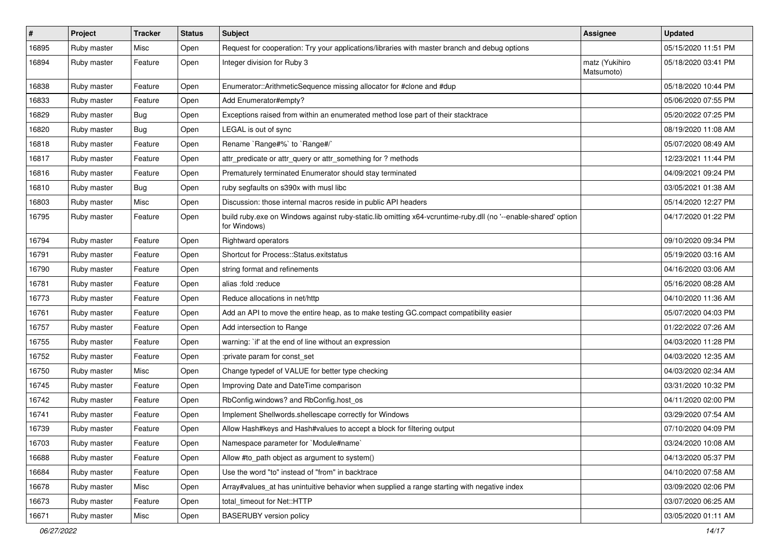| $\vert$ # | Project     | <b>Tracker</b> | <b>Status</b> | Subject                                                                                                                        | <b>Assignee</b>              | <b>Updated</b>      |
|-----------|-------------|----------------|---------------|--------------------------------------------------------------------------------------------------------------------------------|------------------------------|---------------------|
| 16895     | Ruby master | Misc           | Open          | Request for cooperation: Try your applications/libraries with master branch and debug options                                  |                              | 05/15/2020 11:51 PM |
| 16894     | Ruby master | Feature        | Open          | Integer division for Ruby 3                                                                                                    | matz (Yukihiro<br>Matsumoto) | 05/18/2020 03:41 PM |
| 16838     | Ruby master | Feature        | Open          | Enumerator::ArithmeticSequence missing allocator for #clone and #dup                                                           |                              | 05/18/2020 10:44 PM |
| 16833     | Ruby master | Feature        | Open          | Add Enumerator#empty?                                                                                                          |                              | 05/06/2020 07:55 PM |
| 16829     | Ruby master | <b>Bug</b>     | Open          | Exceptions raised from within an enumerated method lose part of their stacktrace                                               |                              | 05/20/2022 07:25 PM |
| 16820     | Ruby master | <b>Bug</b>     | Open          | LEGAL is out of sync                                                                                                           |                              | 08/19/2020 11:08 AM |
| 16818     | Ruby master | Feature        | Open          | Rename `Range#%` to `Range#/`                                                                                                  |                              | 05/07/2020 08:49 AM |
| 16817     | Ruby master | Feature        | Open          | attr_predicate or attr_query or attr_something for ? methods                                                                   |                              | 12/23/2021 11:44 PM |
| 16816     | Ruby master | Feature        | Open          | Prematurely terminated Enumerator should stay terminated                                                                       |                              | 04/09/2021 09:24 PM |
| 16810     | Ruby master | <b>Bug</b>     | Open          | ruby segfaults on s390x with musl libc                                                                                         |                              | 03/05/2021 01:38 AM |
| 16803     | Ruby master | Misc           | Open          | Discussion: those internal macros reside in public API headers                                                                 |                              | 05/14/2020 12:27 PM |
| 16795     | Ruby master | Feature        | Open          | build ruby.exe on Windows against ruby-static.lib omitting x64-vcruntime-ruby.dll (no '--enable-shared' option<br>for Windows) |                              | 04/17/2020 01:22 PM |
| 16794     | Ruby master | Feature        | Open          | Rightward operators                                                                                                            |                              | 09/10/2020 09:34 PM |
| 16791     | Ruby master | Feature        | Open          | Shortcut for Process::Status.exitstatus                                                                                        |                              | 05/19/2020 03:16 AM |
| 16790     | Ruby master | Feature        | Open          | string format and refinements                                                                                                  |                              | 04/16/2020 03:06 AM |
| 16781     | Ruby master | Feature        | Open          | alias :fold :reduce                                                                                                            |                              | 05/16/2020 08:28 AM |
| 16773     | Ruby master | Feature        | Open          | Reduce allocations in net/http                                                                                                 |                              | 04/10/2020 11:36 AM |
| 16761     | Ruby master | Feature        | Open          | Add an API to move the entire heap, as to make testing GC.compact compatibility easier                                         |                              | 05/07/2020 04:03 PM |
| 16757     | Ruby master | Feature        | Open          | Add intersection to Range                                                                                                      |                              | 01/22/2022 07:26 AM |
| 16755     | Ruby master | Feature        | Open          | warning: 'if' at the end of line without an expression                                                                         |                              | 04/03/2020 11:28 PM |
| 16752     | Ruby master | Feature        | Open          | :private param for const_set                                                                                                   |                              | 04/03/2020 12:35 AM |
| 16750     | Ruby master | Misc           | Open          | Change typedef of VALUE for better type checking                                                                               |                              | 04/03/2020 02:34 AM |
| 16745     | Ruby master | Feature        | Open          | Improving Date and DateTime comparison                                                                                         |                              | 03/31/2020 10:32 PM |
| 16742     | Ruby master | Feature        | Open          | RbConfig.windows? and RbConfig.host_os                                                                                         |                              | 04/11/2020 02:00 PM |
| 16741     | Ruby master | Feature        | Open          | Implement Shellwords.shellescape correctly for Windows                                                                         |                              | 03/29/2020 07:54 AM |
| 16739     | Ruby master | Feature        | Open          | Allow Hash#keys and Hash#values to accept a block for filtering output                                                         |                              | 07/10/2020 04:09 PM |
| 16703     | Ruby master | Feature        | Open          | Namespace parameter for `Module#name`                                                                                          |                              | 03/24/2020 10:08 AM |
| 16688     | Ruby master | Feature        | Open          | Allow #to_path object as argument to system()                                                                                  |                              | 04/13/2020 05:37 PM |
| 16684     | Ruby master | Feature        | Open          | Use the word "to" instead of "from" in backtrace                                                                               |                              | 04/10/2020 07:58 AM |
| 16678     | Ruby master | Misc           | Open          | Array#values_at has unintuitive behavior when supplied a range starting with negative index                                    |                              | 03/09/2020 02:06 PM |
| 16673     | Ruby master | Feature        | Open          | total timeout for Net::HTTP                                                                                                    |                              | 03/07/2020 06:25 AM |
| 16671     | Ruby master | Misc           | Open          | <b>BASERUBY</b> version policy                                                                                                 |                              | 03/05/2020 01:11 AM |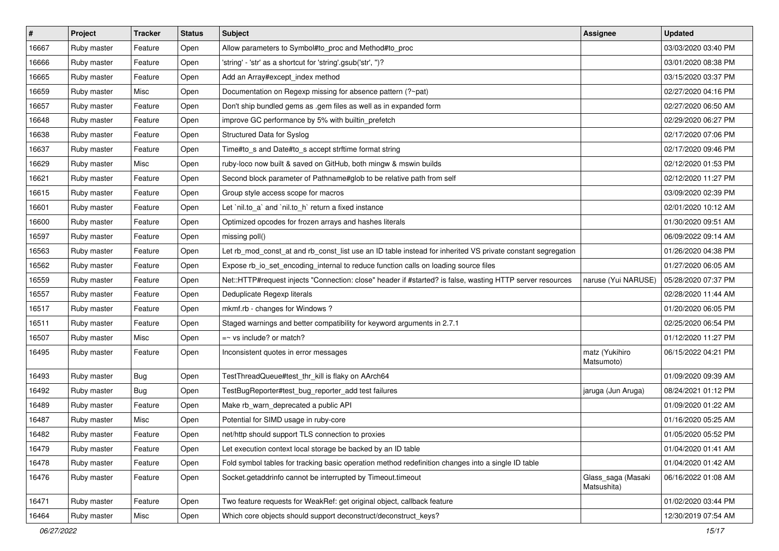| $\pmb{\#}$ | Project     | <b>Tracker</b> | <b>Status</b> | Subject                                                                                                     | <b>Assignee</b>                   | <b>Updated</b>      |
|------------|-------------|----------------|---------------|-------------------------------------------------------------------------------------------------------------|-----------------------------------|---------------------|
| 16667      | Ruby master | Feature        | Open          | Allow parameters to Symbol#to_proc and Method#to_proc                                                       |                                   | 03/03/2020 03:40 PM |
| 16666      | Ruby master | Feature        | Open          | 'string' - 'str' as a shortcut for 'string'.gsub('str', ")?                                                 |                                   | 03/01/2020 08:38 PM |
| 16665      | Ruby master | Feature        | Open          | Add an Array#except_index method                                                                            |                                   | 03/15/2020 03:37 PM |
| 16659      | Ruby master | Misc           | Open          | Documentation on Regexp missing for absence pattern (?~pat)                                                 |                                   | 02/27/2020 04:16 PM |
| 16657      | Ruby master | Feature        | Open          | Don't ship bundled gems as .gem files as well as in expanded form                                           |                                   | 02/27/2020 06:50 AM |
| 16648      | Ruby master | Feature        | Open          | improve GC performance by 5% with builtin_prefetch                                                          |                                   | 02/29/2020 06:27 PM |
| 16638      | Ruby master | Feature        | Open          | Structured Data for Syslog                                                                                  |                                   | 02/17/2020 07:06 PM |
| 16637      | Ruby master | Feature        | Open          | Time#to_s and Date#to_s accept strftime format string                                                       |                                   | 02/17/2020 09:46 PM |
| 16629      | Ruby master | Misc           | Open          | ruby-loco now built & saved on GitHub, both mingw & mswin builds                                            |                                   | 02/12/2020 01:53 PM |
| 16621      | Ruby master | Feature        | Open          | Second block parameter of Pathname#glob to be relative path from self                                       |                                   | 02/12/2020 11:27 PM |
| 16615      | Ruby master | Feature        | Open          | Group style access scope for macros                                                                         |                                   | 03/09/2020 02:39 PM |
| 16601      | Ruby master | Feature        | Open          | Let `nil.to_a` and `nil.to_h` return a fixed instance                                                       |                                   | 02/01/2020 10:12 AM |
| 16600      | Ruby master | Feature        | Open          | Optimized opcodes for frozen arrays and hashes literals                                                     |                                   | 01/30/2020 09:51 AM |
| 16597      | Ruby master | Feature        | Open          | missing poll()                                                                                              |                                   | 06/09/2022 09:14 AM |
| 16563      | Ruby master | Feature        | Open          | Let rb_mod_const_at and rb_const_list use an ID table instead for inherited VS private constant segregation |                                   | 01/26/2020 04:38 PM |
| 16562      | Ruby master | Feature        | Open          | Expose rb io set encoding internal to reduce function calls on loading source files                         |                                   | 01/27/2020 06:05 AM |
| 16559      | Ruby master | Feature        | Open          | Net::HTTP#request injects "Connection: close" header if #started? is false, wasting HTTP server resources   | naruse (Yui NARUSE)               | 05/28/2020 07:37 PM |
| 16557      | Ruby master | Feature        | Open          | Deduplicate Regexp literals                                                                                 |                                   | 02/28/2020 11:44 AM |
| 16517      | Ruby master | Feature        | Open          | mkmf.rb - changes for Windows?                                                                              |                                   | 01/20/2020 06:05 PM |
| 16511      | Ruby master | Feature        | Open          | Staged warnings and better compatibility for keyword arguments in 2.7.1                                     |                                   | 02/25/2020 06:54 PM |
| 16507      | Ruby master | Misc           | Open          | $=$ vs include? or match?                                                                                   |                                   | 01/12/2020 11:27 PM |
| 16495      | Ruby master | Feature        | Open          | Inconsistent quotes in error messages                                                                       | matz (Yukihiro<br>Matsumoto)      | 06/15/2022 04:21 PM |
| 16493      | Ruby master | <b>Bug</b>     | Open          | TestThreadQueue#test_thr_kill is flaky on AArch64                                                           |                                   | 01/09/2020 09:39 AM |
| 16492      | Ruby master | Bug            | Open          | TestBugReporter#test_bug_reporter_add test failures                                                         | jaruga (Jun Aruga)                | 08/24/2021 01:12 PM |
| 16489      | Ruby master | Feature        | Open          | Make rb_warn_deprecated a public API                                                                        |                                   | 01/09/2020 01:22 AM |
| 16487      | Ruby master | Misc           | Open          | Potential for SIMD usage in ruby-core                                                                       |                                   | 01/16/2020 05:25 AM |
| 16482      | Ruby master | Feature        | Open          | net/http should support TLS connection to proxies                                                           |                                   | 01/05/2020 05:52 PM |
| 16479      | Ruby master | Feature        | Open          | Let execution context local storage be backed by an ID table                                                |                                   | 01/04/2020 01:41 AM |
| 16478      | Ruby master | Feature        | Open          | Fold symbol tables for tracking basic operation method redefinition changes into a single ID table          |                                   | 01/04/2020 01:42 AM |
| 16476      | Ruby master | Feature        | Open          | Socket.getaddrinfo cannot be interrupted by Timeout.timeout                                                 | Glass_saga (Masaki<br>Matsushita) | 06/16/2022 01:08 AM |
| 16471      | Ruby master | Feature        | Open          | Two feature requests for WeakRef: get original object, callback feature                                     |                                   | 01/02/2020 03:44 PM |
| 16464      | Ruby master | Misc           | Open          | Which core objects should support deconstruct/deconstruct_keys?                                             |                                   | 12/30/2019 07:54 AM |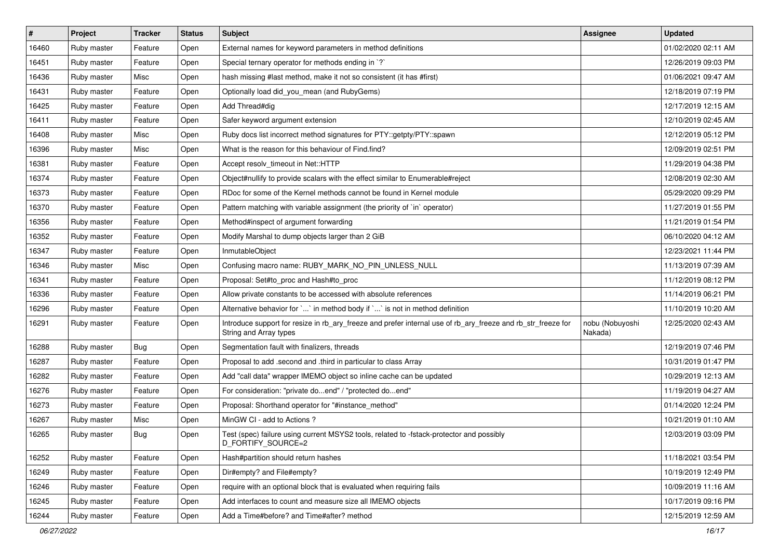| $\#$  | Project     | <b>Tracker</b> | <b>Status</b> | Subject                                                                                                                                | <b>Assignee</b>            | <b>Updated</b>      |
|-------|-------------|----------------|---------------|----------------------------------------------------------------------------------------------------------------------------------------|----------------------------|---------------------|
| 16460 | Ruby master | Feature        | Open          | External names for keyword parameters in method definitions                                                                            |                            | 01/02/2020 02:11 AM |
| 16451 | Ruby master | Feature        | Open          | Special ternary operator for methods ending in `?`                                                                                     |                            | 12/26/2019 09:03 PM |
| 16436 | Ruby master | Misc           | Open          | hash missing #last method, make it not so consistent (it has #first)                                                                   |                            | 01/06/2021 09:47 AM |
| 16431 | Ruby master | Feature        | Open          | Optionally load did you mean (and RubyGems)                                                                                            |                            | 12/18/2019 07:19 PM |
| 16425 | Ruby master | Feature        | Open          | Add Thread#dig                                                                                                                         |                            | 12/17/2019 12:15 AM |
| 16411 | Ruby master | Feature        | Open          | Safer keyword argument extension                                                                                                       |                            | 12/10/2019 02:45 AM |
| 16408 | Ruby master | Misc           | Open          | Ruby docs list incorrect method signatures for PTY::getpty/PTY::spawn                                                                  |                            | 12/12/2019 05:12 PM |
| 16396 | Ruby master | Misc           | Open          | What is the reason for this behaviour of Find.find?                                                                                    |                            | 12/09/2019 02:51 PM |
| 16381 | Ruby master | Feature        | Open          | Accept resolv_timeout in Net::HTTP                                                                                                     |                            | 11/29/2019 04:38 PM |
| 16374 | Ruby master | Feature        | Open          | Object#nullify to provide scalars with the effect similar to Enumerable#reject                                                         |                            | 12/08/2019 02:30 AM |
| 16373 | Ruby master | Feature        | Open          | RDoc for some of the Kernel methods cannot be found in Kernel module                                                                   |                            | 05/29/2020 09:29 PM |
| 16370 | Ruby master | Feature        | Open          | Pattern matching with variable assignment (the priority of `in` operator)                                                              |                            | 11/27/2019 01:55 PM |
| 16356 | Ruby master | Feature        | Open          | Method#inspect of argument forwarding                                                                                                  |                            | 11/21/2019 01:54 PM |
| 16352 | Ruby master | Feature        | Open          | Modify Marshal to dump objects larger than 2 GiB                                                                                       |                            | 06/10/2020 04:12 AM |
| 16347 | Ruby master | Feature        | Open          | InmutableObject                                                                                                                        |                            | 12/23/2021 11:44 PM |
| 16346 | Ruby master | Misc           | Open          | Confusing macro name: RUBY_MARK_NO_PIN_UNLESS_NULL                                                                                     |                            | 11/13/2019 07:39 AM |
| 16341 | Ruby master | Feature        | Open          | Proposal: Set#to_proc and Hash#to_proc                                                                                                 |                            | 11/12/2019 08:12 PM |
| 16336 | Ruby master | Feature        | Open          | Allow private constants to be accessed with absolute references                                                                        |                            | 11/14/2019 06:21 PM |
| 16296 | Ruby master | Feature        | Open          | Alternative behavior for `` in method body if `` is not in method definition                                                           |                            | 11/10/2019 10:20 AM |
| 16291 | Ruby master | Feature        | Open          | Introduce support for resize in rb_ary_freeze and prefer internal use of rb_ary_freeze and rb_str_freeze for<br>String and Array types | nobu (Nobuyoshi<br>Nakada) | 12/25/2020 02:43 AM |
| 16288 | Ruby master | Bug            | Open          | Segmentation fault with finalizers, threads                                                                                            |                            | 12/19/2019 07:46 PM |
| 16287 | Ruby master | Feature        | Open          | Proposal to add .second and .third in particular to class Array                                                                        |                            | 10/31/2019 01:47 PM |
| 16282 | Ruby master | Feature        | Open          | Add "call data" wrapper IMEMO object so inline cache can be updated                                                                    |                            | 10/29/2019 12:13 AM |
| 16276 | Ruby master | Feature        | Open          | For consideration: "private doend" / "protected doend"                                                                                 |                            | 11/19/2019 04:27 AM |
| 16273 | Ruby master | Feature        | Open          | Proposal: Shorthand operator for "#instance_method"                                                                                    |                            | 01/14/2020 12:24 PM |
| 16267 | Ruby master | Misc           | Open          | MinGW CI - add to Actions?                                                                                                             |                            | 10/21/2019 01:10 AM |
| 16265 | Ruby master | Bug            | Open          | Test (spec) failure using current MSYS2 tools, related to -fstack-protector and possibly<br>D_FORTIFY_SOURCE=2                         |                            | 12/03/2019 03:09 PM |
| 16252 | Ruby master | Feature        | Open          | Hash#partition should return hashes                                                                                                    |                            | 11/18/2021 03:54 PM |
| 16249 | Ruby master | Feature        | Open          | Dir#empty? and File#empty?                                                                                                             |                            | 10/19/2019 12:49 PM |
| 16246 | Ruby master | Feature        | Open          | require with an optional block that is evaluated when requiring fails                                                                  |                            | 10/09/2019 11:16 AM |
| 16245 | Ruby master | Feature        | Open          | Add interfaces to count and measure size all IMEMO objects                                                                             |                            | 10/17/2019 09:16 PM |
| 16244 | Ruby master | Feature        | Open          | Add a Time#before? and Time#after? method                                                                                              |                            | 12/15/2019 12:59 AM |